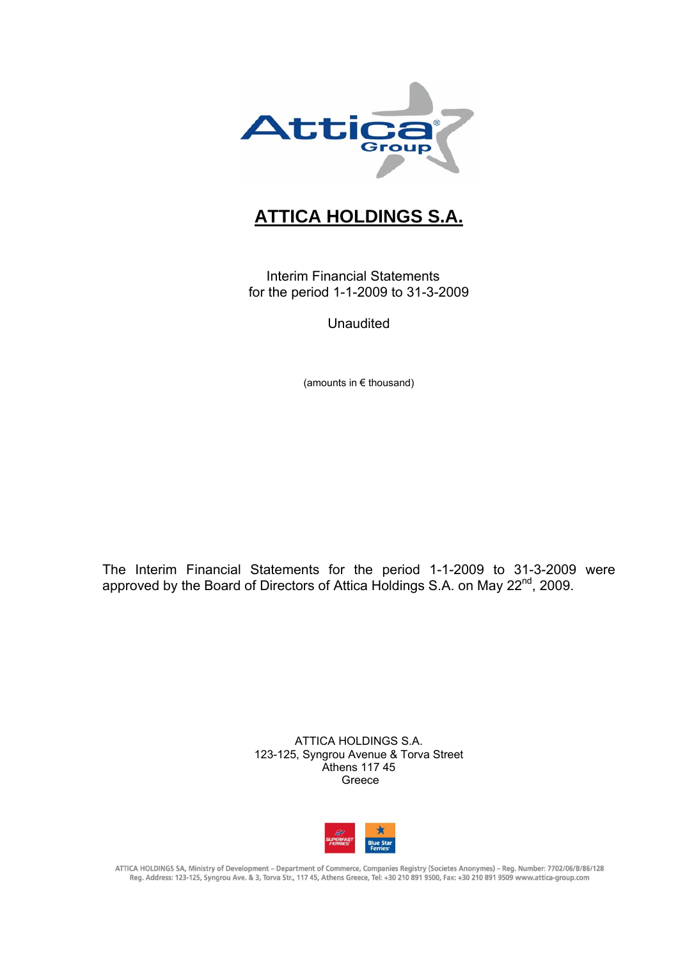

# **ATTICA HOLDINGS S.A.**

Interim Financial Statements for the period 1-1-2009 to 31-3-2009

**Unaudited** 

(amounts in € thousand)

The Interim Financial Statements for the period 1-1-2009 to 31-3-2009 were approved by the Board of Directors of Attica Holdings S.A. on May 22<sup>nd</sup>, 2009.

> ATTICA HOLDINGS S.A. 123-125, Syngrou Avenue & Torva Street Athens 117 45 Greece



ATTICA HOLDINGS SA, Ministry of Development - Department of Commerce, Companies Registry (Societes Anonymes) - Reg. Number: 7702/06/B/86/128 Reg. Address: 123-125, Syngrou Ave. & 3, Torva Str., 117 45, Athens Greece, Tel: +30 210 891 9500, Fax: +30 210 891 9509 www.attica-group.com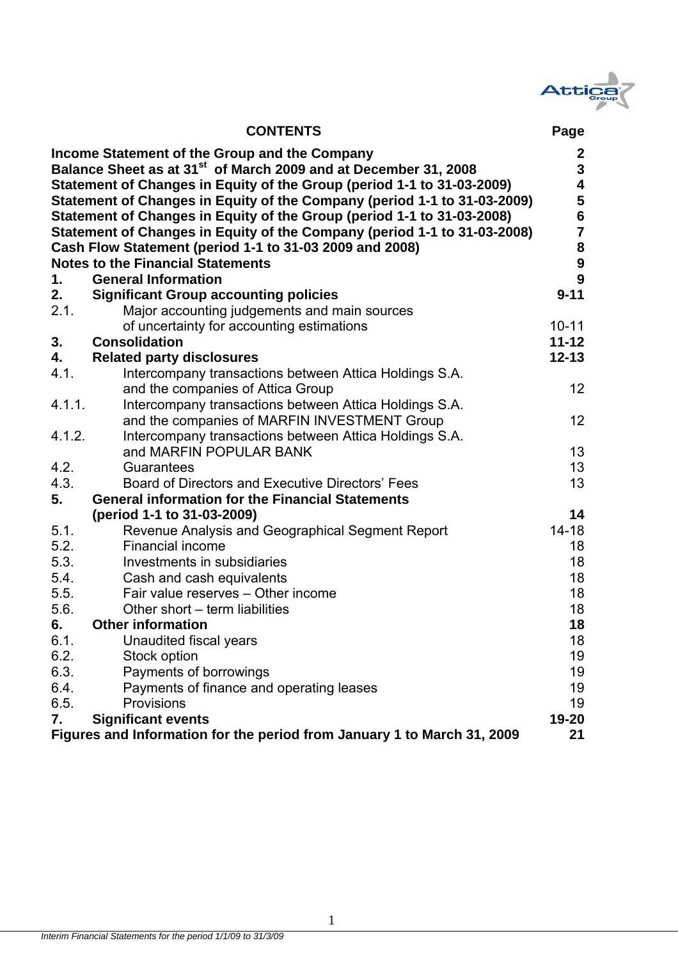

|            | <b>CONTENTS</b>                                                                                                                                                                                                                                                                                                                                                                                                                                                                                     | Page                                                                                                  |
|------------|-----------------------------------------------------------------------------------------------------------------------------------------------------------------------------------------------------------------------------------------------------------------------------------------------------------------------------------------------------------------------------------------------------------------------------------------------------------------------------------------------------|-------------------------------------------------------------------------------------------------------|
|            | Income Statement of the Group and the Company<br>Balance Sheet as at 31 <sup>st</sup> of March 2009 and at December 31, 2008<br>Statement of Changes in Equity of the Group (period 1-1 to 31-03-2009)<br>Statement of Changes in Equity of the Company (period 1-1 to 31-03-2009)<br>Statement of Changes in Equity of the Group (period 1-1 to 31-03-2008)<br>Statement of Changes in Equity of the Company (period 1-1 to 31-03-2008)<br>Cash Flow Statement (period 1-1 to 31-03 2009 and 2008) | $\mathbf{2}$<br>${\bf 3}$<br>$\overline{\mathbf{4}}$<br>5<br>$\bf{6}$<br>$\overline{\mathbf{7}}$<br>8 |
|            | <b>Notes to the Financial Statements</b>                                                                                                                                                                                                                                                                                                                                                                                                                                                            | $\boldsymbol{9}$                                                                                      |
| 1.         | <b>General Information</b>                                                                                                                                                                                                                                                                                                                                                                                                                                                                          | 9                                                                                                     |
| 2.<br>2.1. | <b>Significant Group accounting policies</b>                                                                                                                                                                                                                                                                                                                                                                                                                                                        | $9 - 11$                                                                                              |
|            | Major accounting judgements and main sources                                                                                                                                                                                                                                                                                                                                                                                                                                                        | $10 - 11$                                                                                             |
| 3.         | of uncertainty for accounting estimations<br><b>Consolidation</b>                                                                                                                                                                                                                                                                                                                                                                                                                                   | $11 - 12$                                                                                             |
| 4.         | <b>Related party disclosures</b>                                                                                                                                                                                                                                                                                                                                                                                                                                                                    | $12 - 13$                                                                                             |
| 4.1.       | Intercompany transactions between Attica Holdings S.A.                                                                                                                                                                                                                                                                                                                                                                                                                                              |                                                                                                       |
|            | and the companies of Attica Group                                                                                                                                                                                                                                                                                                                                                                                                                                                                   | 12 <sub>2</sub>                                                                                       |
| 4.1.1.     | Intercompany transactions between Attica Holdings S.A.                                                                                                                                                                                                                                                                                                                                                                                                                                              |                                                                                                       |
|            | and the companies of MARFIN INVESTMENT Group                                                                                                                                                                                                                                                                                                                                                                                                                                                        | 12                                                                                                    |
| 4.1.2.     | Intercompany transactions between Attica Holdings S.A.                                                                                                                                                                                                                                                                                                                                                                                                                                              |                                                                                                       |
|            | and MARFIN POPULAR BANK                                                                                                                                                                                                                                                                                                                                                                                                                                                                             | 13                                                                                                    |
| 4.2.       | Guarantees                                                                                                                                                                                                                                                                                                                                                                                                                                                                                          | 13                                                                                                    |
| 4.3.       | Board of Directors and Executive Directors' Fees                                                                                                                                                                                                                                                                                                                                                                                                                                                    | 13                                                                                                    |
| 5.         | <b>General information for the Financial Statements</b>                                                                                                                                                                                                                                                                                                                                                                                                                                             |                                                                                                       |
|            | (period 1-1 to 31-03-2009)                                                                                                                                                                                                                                                                                                                                                                                                                                                                          | 14                                                                                                    |
| 5.1.       | Revenue Analysis and Geographical Segment Report                                                                                                                                                                                                                                                                                                                                                                                                                                                    | $14 - 18$                                                                                             |
| 5.2.       | <b>Financial income</b>                                                                                                                                                                                                                                                                                                                                                                                                                                                                             | 18                                                                                                    |
| 5.3.       | Investments in subsidiaries                                                                                                                                                                                                                                                                                                                                                                                                                                                                         | 18                                                                                                    |
| 5.4.       | Cash and cash equivalents                                                                                                                                                                                                                                                                                                                                                                                                                                                                           | 18                                                                                                    |
| 5.5.       | Fair value reserves - Other income                                                                                                                                                                                                                                                                                                                                                                                                                                                                  | 18                                                                                                    |
| 5.6.       | Other short – term liabilities                                                                                                                                                                                                                                                                                                                                                                                                                                                                      | 18                                                                                                    |
| 6.         | <b>Other information</b>                                                                                                                                                                                                                                                                                                                                                                                                                                                                            | 18                                                                                                    |
| 6.1.       | Unaudited fiscal years                                                                                                                                                                                                                                                                                                                                                                                                                                                                              | 18                                                                                                    |
| 6.2.       | Stock option                                                                                                                                                                                                                                                                                                                                                                                                                                                                                        | 19                                                                                                    |
| 6.3.       | Payments of borrowings                                                                                                                                                                                                                                                                                                                                                                                                                                                                              | 19                                                                                                    |
| 6.4.       | Payments of finance and operating leases                                                                                                                                                                                                                                                                                                                                                                                                                                                            | 19                                                                                                    |
| 6.5.       | Provisions                                                                                                                                                                                                                                                                                                                                                                                                                                                                                          | 19                                                                                                    |
| 7.         | <b>Significant events</b>                                                                                                                                                                                                                                                                                                                                                                                                                                                                           | 19-20                                                                                                 |
|            | Figures and Information for the period from January 1 to March 31, 2009                                                                                                                                                                                                                                                                                                                                                                                                                             | 21                                                                                                    |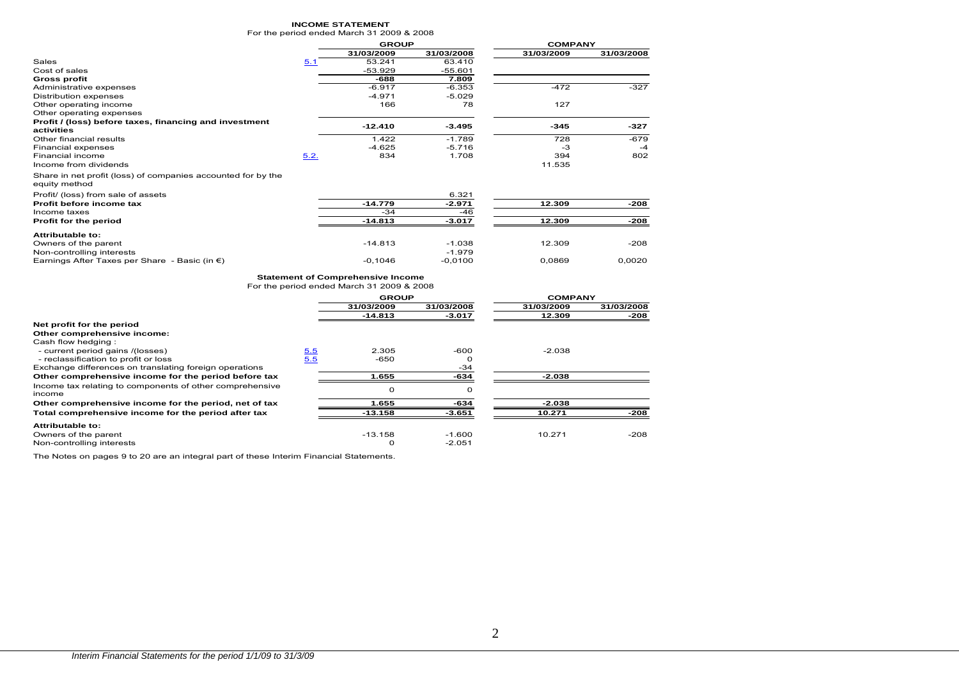#### **INCOME STATEMENT**

| For the period ended March 31 2009 & 2008 |  |  |  |  |
|-------------------------------------------|--|--|--|--|
|-------------------------------------------|--|--|--|--|

|                                                                               |      | <b>GROUP</b> |            | <b>COMPANY</b> |            |
|-------------------------------------------------------------------------------|------|--------------|------------|----------------|------------|
|                                                                               |      | 31/03/2009   | 31/03/2008 | 31/03/2009     | 31/03/2008 |
| Sales                                                                         | 5.1  | 53.241       | 63.410     |                |            |
| Cost of sales                                                                 |      | $-53.929$    | $-55.601$  |                |            |
| <b>Gross profit</b>                                                           |      | -688         | 7.809      |                |            |
| Administrative expenses                                                       |      | $-6.917$     | $-6.353$   | $-472$         | $-327$     |
| Distribution expenses                                                         |      | $-4.971$     | $-5.029$   |                |            |
| Other operating income                                                        |      | 166          | 78         | 127            |            |
| Other operating expenses                                                      |      |              |            |                |            |
| Profit / (loss) before taxes, financing and investment                        |      | $-12.410$    | $-3.495$   | $-345$         | $-327$     |
| activities                                                                    |      |              |            |                |            |
| Other financial results                                                       |      | 1.422        | $-1.789$   | 728            | $-679$     |
| Financial expenses                                                            |      | $-4.625$     | $-5.716$   | -3             | $-4$       |
| Financial income                                                              | 5.2. | 834          | 1.708      | 394            | 802        |
| Income from dividends                                                         |      |              |            | 11.535         |            |
| Share in net profit (loss) of companies accounted for by the<br>equity method |      |              |            |                |            |
| Profit/ (loss) from sale of assets                                            |      |              | 6.321      |                |            |
| Profit before income tax                                                      |      | $-14.779$    | $-2.971$   | 12.309         | -208       |
| Income taxes                                                                  |      | $-34$        | -46        |                |            |
| Profit for the period                                                         |      | $-14.813$    | $-3.017$   | 12.309         | -208       |
| Attributable to:                                                              |      |              |            |                |            |

| .                                                       |           |           |        |        |
|---------------------------------------------------------|-----------|-----------|--------|--------|
| <b>Attributable to:</b>                                 |           |           |        |        |
| Owners of the parent                                    | -14.813   | $-1.038$  | 12.309 | $-208$ |
| Non-controlling interests                               |           | $-1.979$  |        |        |
| Earnings After Taxes per Share - Basic (in $\epsilon$ ) | $-0.1046$ | $-0.0100$ | 0,0869 | 0.0020 |

#### **Statement of Comprehensive Income**

For the period ended March 31 2009 & 2008

|                                                                    |     | <b>GROUP</b> |            |            | <b>COMPANY</b> |  |
|--------------------------------------------------------------------|-----|--------------|------------|------------|----------------|--|
|                                                                    |     | 31/03/2009   | 31/03/2008 | 31/03/2009 | 31/03/2008     |  |
|                                                                    |     | -14.813      | $-3.017$   | 12.309     | -208           |  |
| Net profit for the period                                          |     |              |            |            |                |  |
| Other comprehensive income:                                        |     |              |            |            |                |  |
| Cash flow hedging:                                                 |     |              |            |            |                |  |
| - current period gains /(losses)                                   | 5.5 | 2.305        | -600       | $-2.038$   |                |  |
| - reclassification to profit or loss                               | 5.5 | $-650$       |            |            |                |  |
| Exchange differences on translating foreign operations             |     |              | -34        |            |                |  |
| Other comprehensive income for the period before tax               |     | 1.655        | -634       | $-2.038$   |                |  |
| Income tax relating to components of other comprehensive<br>income |     | 0            | $\Omega$   |            |                |  |
| Other comprehensive income for the period, net of tax              |     | 1.655        | -634       | $-2.038$   |                |  |
| Total comprehensive income for the period after tax                |     | $-13.158$    | $-3.651$   | 10.271     | $-208$         |  |
| <b>Attributable to:</b>                                            |     |              |            |            |                |  |
| Owners of the parent                                               |     | $-13.158$    | -1.600     | 10.271     | $-208$         |  |
| Non-controlling interests                                          |     | $\Omega$     | $-2.051$   |            |                |  |

The Notes on pages 9 to 20 are an integral part of these Interim Financial Statements.

2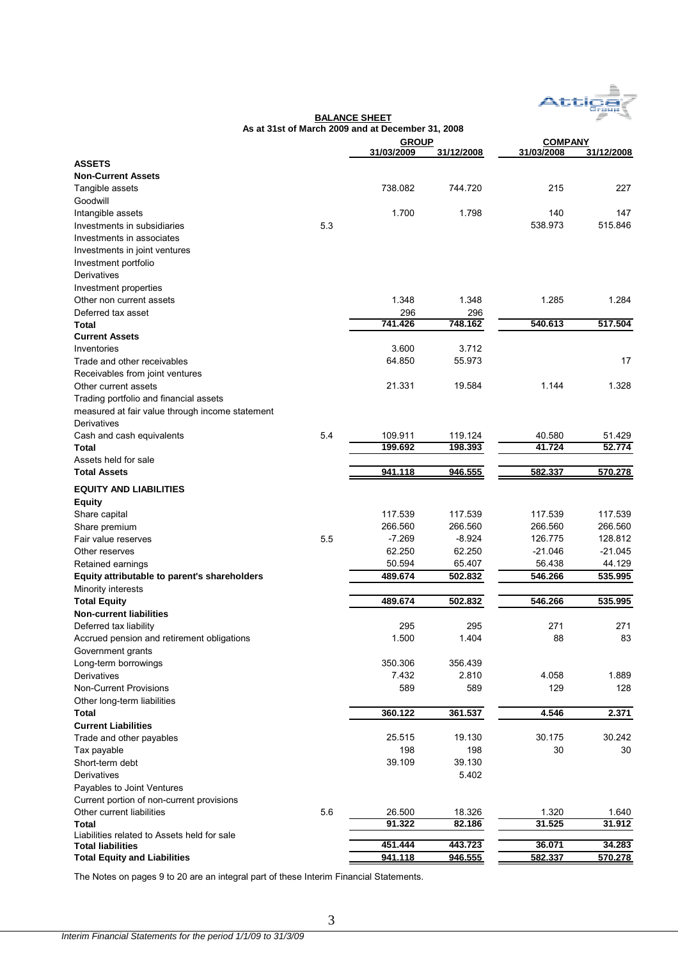

|                                                 |     | As at 31st of March 2009 and at December 31, 2008 |            |                |            |
|-------------------------------------------------|-----|---------------------------------------------------|------------|----------------|------------|
|                                                 |     | <b>GROUP</b>                                      |            | <b>COMPANY</b> |            |
|                                                 |     | 31/03/2009                                        | 31/12/2008 | 31/03/2008     | 31/12/2008 |
| <b>ASSETS</b>                                   |     |                                                   |            |                |            |
| <b>Non-Current Assets</b>                       |     |                                                   |            |                |            |
| Tangible assets                                 |     | 738.082                                           | 744.720    | 215            | 227        |
| Goodwill                                        |     |                                                   |            |                |            |
| Intangible assets                               |     | 1.700                                             | 1.798      | 140            | 147        |
| Investments in subsidiaries                     | 5.3 |                                                   |            | 538.973        | 515.846    |
| Investments in associates                       |     |                                                   |            |                |            |
| Investments in joint ventures                   |     |                                                   |            |                |            |
| Investment portfolio                            |     |                                                   |            |                |            |
| Derivatives                                     |     |                                                   |            |                |            |
| Investment properties                           |     |                                                   |            |                |            |
| Other non current assets                        |     | 1.348                                             | 1.348      | 1.285          | 1.284      |
| Deferred tax asset                              |     | 296                                               | 296        |                |            |
| <b>Total</b>                                    |     | 741.426                                           | 748.162    | 540.613        | 517.504    |
| <b>Current Assets</b>                           |     |                                                   |            |                |            |
| Inventories                                     |     | 3.600                                             | 3.712      |                |            |
| Trade and other receivables                     |     | 64.850                                            | 55.973     |                | 17         |
|                                                 |     |                                                   |            |                |            |
| Receivables from joint ventures                 |     |                                                   |            |                |            |
| Other current assets                            |     | 21.331                                            | 19.584     | 1.144          | 1.328      |
| Trading portfolio and financial assets          |     |                                                   |            |                |            |
| measured at fair value through income statement |     |                                                   |            |                |            |
| Derivatives                                     |     |                                                   |            |                |            |
| Cash and cash equivalents                       | 5.4 | 109.911                                           | 119.124    | 40.580         | 51.429     |
| Total                                           |     | 199.692                                           | 198.393    | 41.724         | 52.774     |
| Assets held for sale                            |     |                                                   |            |                |            |
| <b>Total Assets</b>                             |     | 941.118                                           | 946.555    | 582.337        | 570.278    |
| <b>EQUITY AND LIABILITIES</b>                   |     |                                                   |            |                |            |
| <b>Equity</b>                                   |     |                                                   |            |                |            |
| Share capital                                   |     | 117.539                                           | 117.539    | 117.539        | 117.539    |
| Share premium                                   |     | 266.560                                           | 266.560    | 266.560        | 266.560    |
| Fair value reserves                             | 5.5 | $-7.269$                                          | $-8.924$   | 126.775        | 128.812    |
| Other reserves                                  |     | 62.250                                            | 62.250     | $-21.046$      | $-21.045$  |
|                                                 |     |                                                   |            |                |            |
| Retained earnings                               |     | 50.594                                            | 65.407     | 56.438         | 44.129     |
| Equity attributable to parent's shareholders    |     | 489.674                                           | 502.832    | 546.266        | 535.995    |
| Minority interests                              |     |                                                   |            |                |            |
| <b>Total Equity</b>                             |     | 489.674                                           | 502.832    | 546.266        | 535.995    |
| <b>Non-current liabilities</b>                  |     |                                                   |            |                |            |
| Deferred tax liability                          |     | 295                                               | 295        | 271            | 271        |
| Accrued pension and retirement obligations      |     | 1.500                                             | 1.404      | 88             | 83         |
| Government grants                               |     |                                                   |            |                |            |
| Long-term borrowings                            |     | 350.306                                           | 356.439    |                |            |
| Derivatives                                     |     | 7.432                                             | 2.810      | 4.058          | 1.889      |
| <b>Non-Current Provisions</b>                   |     | 589                                               | 589        | 129            | 128        |
| Other long-term liabilities                     |     |                                                   |            |                |            |
| Total                                           |     | 360.122                                           | 361.537    | 4.546          | 2.371      |
| <b>Current Liabilities</b>                      |     |                                                   |            |                |            |
| Trade and other payables                        |     | 25.515                                            | 19.130     | 30.175         | 30.242     |
| Tax payable                                     |     | 198                                               | 198        | 30             | 30         |
| Short-term debt                                 |     | 39.109                                            | 39.130     |                |            |
| Derivatives                                     |     |                                                   | 5.402      |                |            |
| Payables to Joint Ventures                      |     |                                                   |            |                |            |
| Current portion of non-current provisions       |     |                                                   |            |                |            |
| Other current liabilities                       | 5.6 | 26.500                                            | 18.326     | 1.320          | 1.640      |
| <b>Total</b>                                    |     | 91.322                                            | 82.186     | 31.525         | 31.912     |
| Liabilities related to Assets held for sale     |     |                                                   |            |                |            |
| <b>Total liabilities</b>                        |     | 451.444                                           | 443.723    | 36.071         | 34.283     |
| <b>Total Equity and Liabilities</b>             |     | 941.118                                           | 946.555    | 582.337        | 570.278    |
|                                                 |     |                                                   |            |                |            |

**BALANCE SHEET**

The Notes on pages 9 to 20 are an integral part of these Interim Financial Statements.

3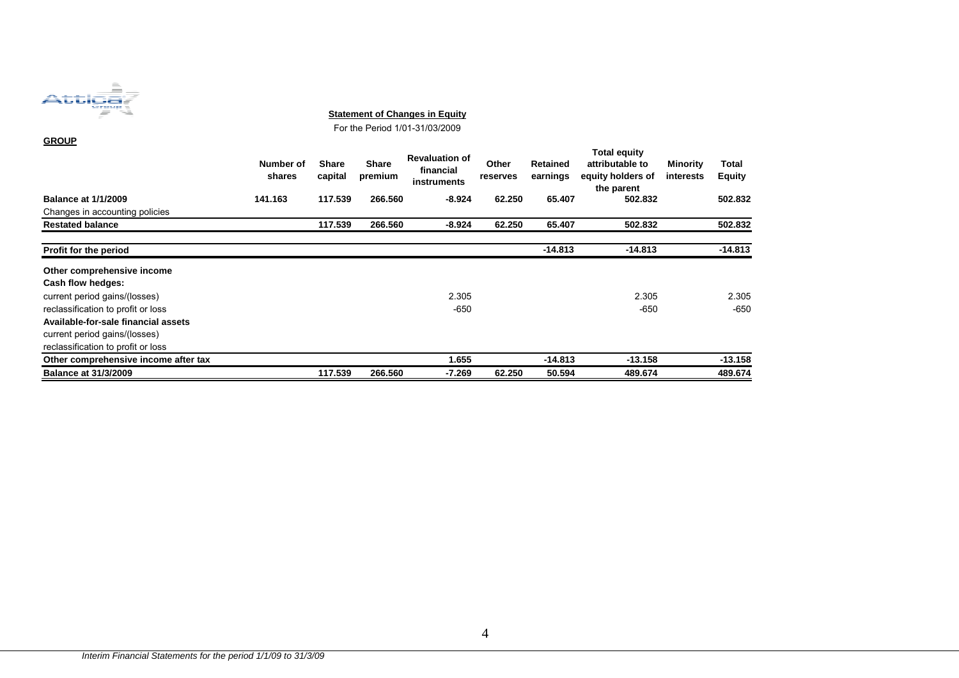

**Statement of Changes in Equity**

For the Period 1/01-31/03/2009

| <b>GROUP</b>                         |                     |                         |                         |                                                   |                   |                             |                                                                           |                              |                 |
|--------------------------------------|---------------------|-------------------------|-------------------------|---------------------------------------------------|-------------------|-----------------------------|---------------------------------------------------------------------------|------------------------------|-----------------|
|                                      | Number of<br>shares | <b>Share</b><br>capital | <b>Share</b><br>premium | <b>Revaluation of</b><br>financial<br>instruments | Other<br>reserves | <b>Retained</b><br>earnings | <b>Total equity</b><br>attributable to<br>equity holders of<br>the parent | Minority<br><b>interests</b> | Total<br>Equity |
| <b>Balance at 1/1/2009</b>           | 141.163             | 117.539                 | 266.560                 | $-8.924$                                          | 62.250            | 65.407                      | 502.832                                                                   |                              | 502.832         |
| Changes in accounting policies       |                     |                         |                         |                                                   |                   |                             |                                                                           |                              |                 |
| <b>Restated balance</b>              |                     | 117.539                 | 266.560                 | $-8.924$                                          | 62.250            | 65.407                      | 502.832                                                                   |                              | 502.832         |
| Profit for the period                |                     |                         |                         |                                                   |                   | $-14.813$                   | $-14.813$                                                                 |                              | $-14.813$       |
| Other comprehensive income           |                     |                         |                         |                                                   |                   |                             |                                                                           |                              |                 |
| Cash flow hedges:                    |                     |                         |                         |                                                   |                   |                             |                                                                           |                              |                 |
| current period gains/(losses)        |                     |                         |                         | 2.305                                             |                   |                             | 2.305                                                                     |                              | 2.305           |
| reclassification to profit or loss   |                     |                         |                         | $-650$                                            |                   |                             | $-650$                                                                    |                              | $-650$          |
| Available-for-sale financial assets  |                     |                         |                         |                                                   |                   |                             |                                                                           |                              |                 |
| current period gains/(losses)        |                     |                         |                         |                                                   |                   |                             |                                                                           |                              |                 |
| reclassification to profit or loss   |                     |                         |                         |                                                   |                   |                             |                                                                           |                              |                 |
| Other comprehensive income after tax |                     |                         |                         | 1.655                                             |                   | $-14.813$                   | $-13.158$                                                                 |                              | $-13.158$       |
| <b>Balance at 31/3/2009</b>          |                     | 117.539                 | 266.560                 | -7.269                                            | 62.250            | 50.594                      | 489.674                                                                   |                              | 489.674         |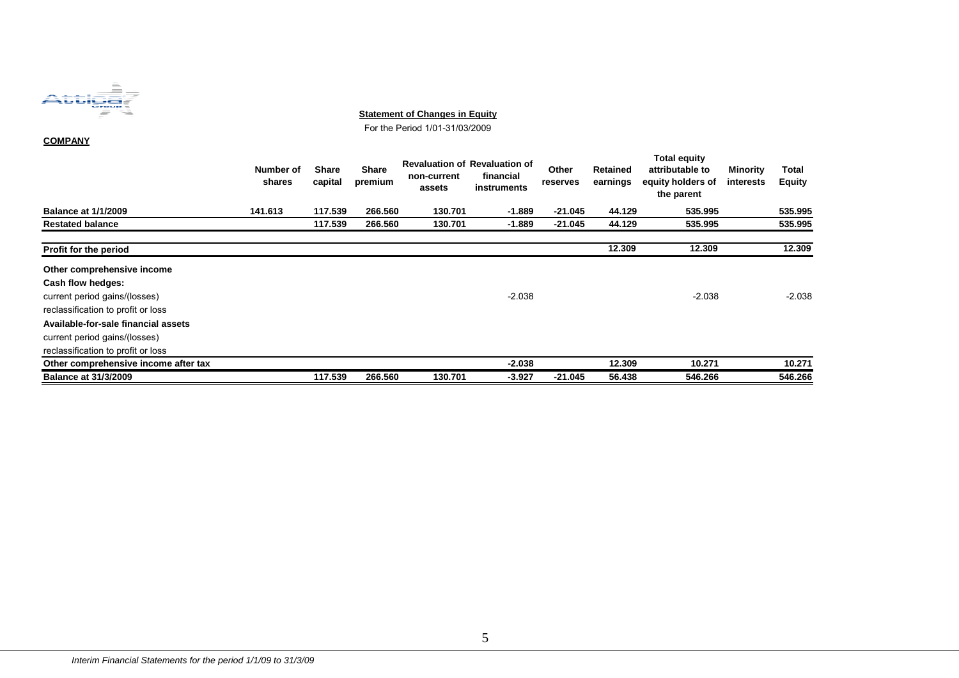

#### **Statement of Changes in Equity**

For the Period 1/01-31/03/2009

#### **COMPANY**

|                                      | Number of<br>shares | <b>Share</b><br>capital | <b>Share</b><br>premium | <b>Revaluation of Revaluation of</b><br>non-current<br>assets | financial<br>instruments | Other<br>reserves | Retained<br>earnings | <b>Total equity</b><br>attributable to<br>equity holders of<br>the parent | Minority<br>interests | Total<br><b>Equity</b> |
|--------------------------------------|---------------------|-------------------------|-------------------------|---------------------------------------------------------------|--------------------------|-------------------|----------------------|---------------------------------------------------------------------------|-----------------------|------------------------|
| <b>Balance at 1/1/2009</b>           | 141.613             | 117.539                 | 266.560                 | 130.701                                                       | $-1.889$                 | $-21.045$         | 44.129               | 535.995                                                                   |                       | 535.995                |
| <b>Restated balance</b>              |                     | 117.539                 | 266.560                 | 130.701                                                       | $-1.889$                 | $-21.045$         | 44.129               | 535.995                                                                   |                       | 535.995                |
| Profit for the period                |                     |                         |                         |                                                               |                          |                   | 12.309               | 12.309                                                                    |                       | 12.309                 |
| Other comprehensive income           |                     |                         |                         |                                                               |                          |                   |                      |                                                                           |                       |                        |
| Cash flow hedges:                    |                     |                         |                         |                                                               |                          |                   |                      |                                                                           |                       |                        |
| current period gains/(losses)        |                     |                         |                         |                                                               | $-2.038$                 |                   |                      | $-2.038$                                                                  |                       | $-2.038$               |
| reclassification to profit or loss   |                     |                         |                         |                                                               |                          |                   |                      |                                                                           |                       |                        |
| Available-for-sale financial assets  |                     |                         |                         |                                                               |                          |                   |                      |                                                                           |                       |                        |
| current period gains/(losses)        |                     |                         |                         |                                                               |                          |                   |                      |                                                                           |                       |                        |
| reclassification to profit or loss   |                     |                         |                         |                                                               |                          |                   |                      |                                                                           |                       |                        |
| Other comprehensive income after tax |                     |                         |                         |                                                               | $-2.038$                 |                   | 12.309               | 10.271                                                                    |                       | 10.271                 |
| <b>Balance at 31/3/2009</b>          |                     | 117.539                 | 266.560                 | 130.701                                                       | $-3.927$                 | $-21.045$         | 56.438               | 546.266                                                                   |                       | 546.266                |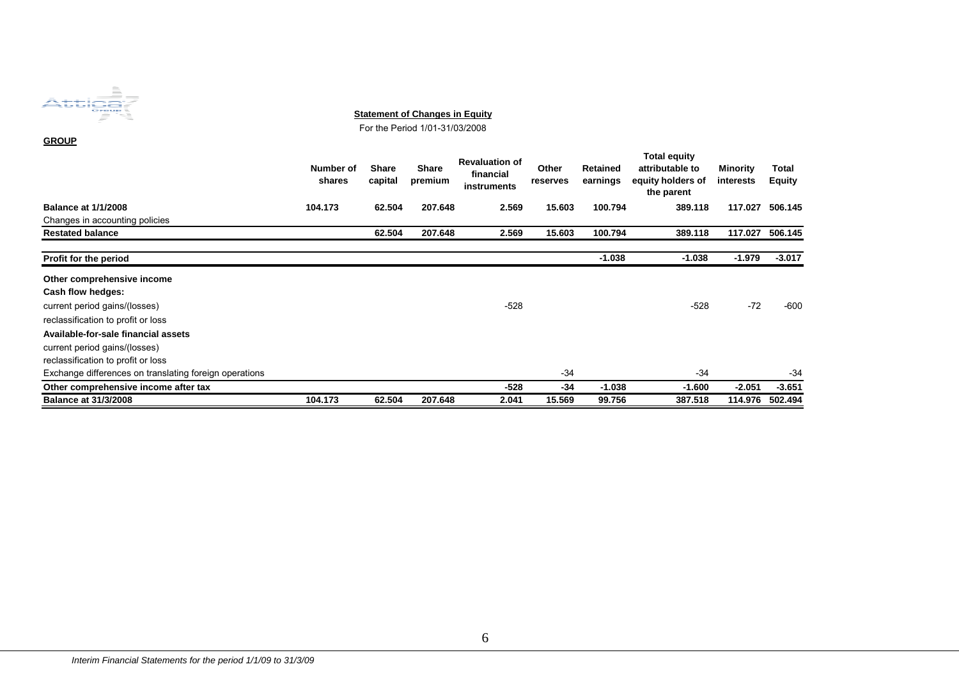

**Statement of Changes in Equity**

For the Period 1/01-31/03/2008

**GROUP**

|                                                        | Number of<br>shares | <b>Share</b><br>capital | <b>Share</b><br>premium | <b>Revaluation of</b><br>financial<br>instruments | Other<br>reserves | Retained<br>earnings | <b>Total equity</b><br>attributable to<br>equity holders of<br>the parent | Minority<br>interests | Total<br>Equity |
|--------------------------------------------------------|---------------------|-------------------------|-------------------------|---------------------------------------------------|-------------------|----------------------|---------------------------------------------------------------------------|-----------------------|-----------------|
| <b>Balance at 1/1/2008</b>                             | 104.173             | 62.504                  | 207.648                 | 2.569                                             | 15.603            | 100.794              | 389.118                                                                   | 117.027               | 506.145         |
| Changes in accounting policies                         |                     |                         |                         |                                                   |                   |                      |                                                                           |                       |                 |
| <b>Restated balance</b>                                |                     | 62.504                  | 207.648                 | 2.569                                             | 15.603            | 100.794              | 389.118                                                                   | 117.027               | 506.145         |
| Profit for the period                                  |                     |                         |                         |                                                   |                   | $-1.038$             | $-1.038$                                                                  | $-1.979$              | $-3.017$        |
| Other comprehensive income                             |                     |                         |                         |                                                   |                   |                      |                                                                           |                       |                 |
| Cash flow hedges:                                      |                     |                         |                         |                                                   |                   |                      |                                                                           |                       |                 |
| current period gains/(losses)                          |                     |                         |                         | $-528$                                            |                   |                      | $-528$                                                                    | $-72$                 | $-600$          |
| reclassification to profit or loss                     |                     |                         |                         |                                                   |                   |                      |                                                                           |                       |                 |
| Available-for-sale financial assets                    |                     |                         |                         |                                                   |                   |                      |                                                                           |                       |                 |
| current period gains/(losses)                          |                     |                         |                         |                                                   |                   |                      |                                                                           |                       |                 |
| reclassification to profit or loss                     |                     |                         |                         |                                                   |                   |                      |                                                                           |                       |                 |
| Exchange differences on translating foreign operations |                     |                         |                         |                                                   | $-34$             |                      | $-34$                                                                     |                       | -34             |
| Other comprehensive income after tax                   |                     |                         |                         | -528                                              | -34               | $-1.038$             | $-1.600$                                                                  | $-2.051$              | $-3.651$        |
| <b>Balance at 31/3/2008</b>                            | 104.173             | 62.504                  | 207.648                 | 2.041                                             | 15.569            | 99.756               | 387.518                                                                   | 114.976               | 502.494         |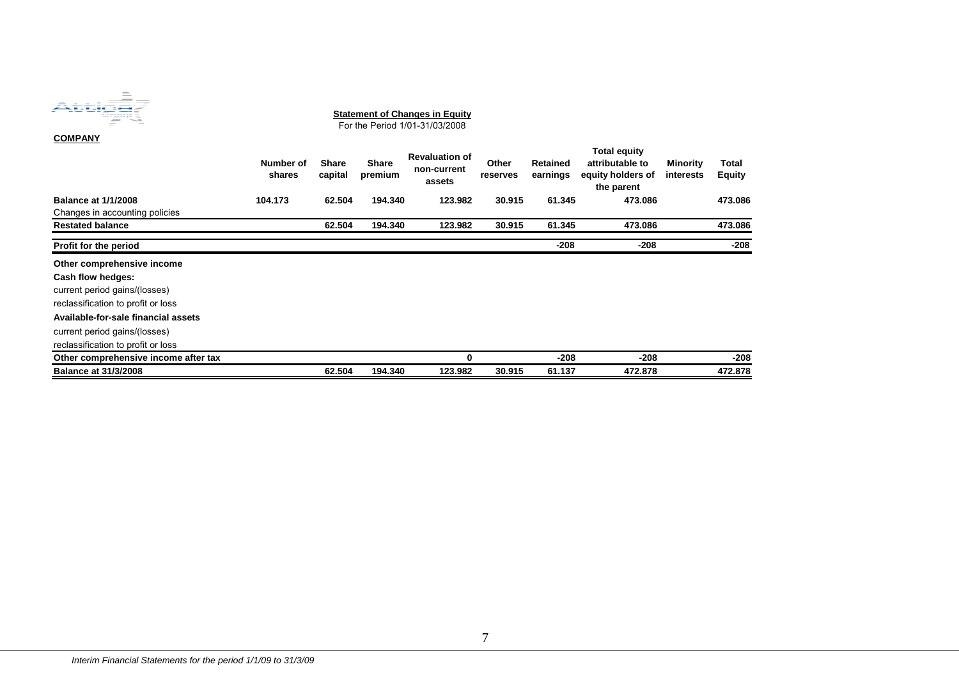| ×                                                        | <b>STATISTICS</b>                                                                                                                                                                                                                                                                                                                                                                                                                                                                                     |
|----------------------------------------------------------|-------------------------------------------------------------------------------------------------------------------------------------------------------------------------------------------------------------------------------------------------------------------------------------------------------------------------------------------------------------------------------------------------------------------------------------------------------------------------------------------------------|
|                                                          | $\overline{\phantom{a}}$                                                                                                                                                                                                                                                                                                                                                                                                                                                                              |
| ٠                                                        | $\frac{1}{2} \left( \frac{1}{2} \right) \left( \frac{1}{2} \right) \left( \frac{1}{2} \right) \left( \frac{1}{2} \right) \left( \frac{1}{2} \right) \left( \frac{1}{2} \right) \left( \frac{1}{2} \right) \left( \frac{1}{2} \right) \left( \frac{1}{2} \right) \left( \frac{1}{2} \right) \left( \frac{1}{2} \right) \left( \frac{1}{2} \right) \left( \frac{1}{2} \right) \left( \frac{1}{2} \right) \left( \frac{1}{2} \right) \left( \frac{1}{2} \right) \left( \frac$                            |
| ×                                                        | ___                                                                                                                                                                                                                                                                                                                                                                                                                                                                                                   |
| ٠                                                        | $\frac{1}{2} \left( \frac{1}{2} \right) \left( \frac{1}{2} \right) \left( \frac{1}{2} \right) \left( \frac{1}{2} \right) \left( \frac{1}{2} \right) \left( \frac{1}{2} \right) \left( \frac{1}{2} \right) \left( \frac{1}{2} \right) \left( \frac{1}{2} \right) \left( \frac{1}{2} \right) \left( \frac{1}{2} \right) \left( \frac{1}{2} \right) \left( \frac{1}{2} \right) \left( \frac{1}{2} \right) \left( \frac{1}{2} \right) \left( \frac{1}{2} \right) \left( \frac$                            |
| ¥                                                        | ___                                                                                                                                                                                                                                                                                                                                                                                                                                                                                                   |
| ٠                                                        | the contract of the contract of                                                                                                                                                                                                                                                                                                                                                                                                                                                                       |
| $\sim$                                                   |                                                                                                                                                                                                                                                                                                                                                                                                                                                                                                       |
| ٠<br>$\sim$<br><b>STATE</b>                              |                                                                                                                                                                                                                                                                                                                                                                                                                                                                                                       |
| v<br>$-$<br>__<br>____                                   | the contract of the contract of the contract of                                                                                                                                                                                                                                                                                                                                                                                                                                                       |
| ٠<br>_____<br>- -                                        | _______                                                                                                                                                                                                                                                                                                                                                                                                                                                                                               |
| __<br>________<br>a s                                    | ___                                                                                                                                                                                                                                                                                                                                                                                                                                                                                                   |
| n e<br>$\overline{\phantom{a}}$<br>____<br>_ _<br>$\sim$ | _______                                                                                                                                                                                                                                                                                                                                                                                                                                                                                               |
| _ _ _ _ _ _ _<br>$\sim$                                  | _____                                                                                                                                                                                                                                                                                                                                                                                                                                                                                                 |
| ___                                                      | _____<br>$\overline{\phantom{a}}$                                                                                                                                                                                                                                                                                                                                                                                                                                                                     |
| <b>STAR</b>                                              | ______                                                                                                                                                                                                                                                                                                                                                                                                                                                                                                |
|                                                          | ----------                                                                                                                                                                                                                                                                                                                                                                                                                                                                                            |
|                                                          | _____                                                                                                                                                                                                                                                                                                                                                                                                                                                                                                 |
|                                                          | ---<br>the company's company's                                                                                                                                                                                                                                                                                                                                                                                                                                                                        |
| ٠                                                        | $\frac{1}{2} \left( \frac{1}{2} \right) \left( \frac{1}{2} \right) \left( \frac{1}{2} \right) \left( \frac{1}{2} \right) \left( \frac{1}{2} \right) \left( \frac{1}{2} \right) \left( \frac{1}{2} \right) \left( \frac{1}{2} \right) \left( \frac{1}{2} \right) \left( \frac{1}{2} \right) \left( \frac{1}{2} \right) \left( \frac{1}{2} \right) \left( \frac{1}{2} \right) \left( \frac{1}{2} \right) \left( \frac{1}{2} \right) \left( \frac{1}{2} \right) \left( \frac$<br><b>STATES CONTINUES</b> |
|                                                          | $\frac{1}{2} \left( \frac{1}{2} \right) \left( \frac{1}{2} \right) \left( \frac{1}{2} \right) \left( \frac{1}{2} \right) \left( \frac{1}{2} \right) \left( \frac{1}{2} \right) \left( \frac{1}{2} \right) \left( \frac{1}{2} \right) \left( \frac{1}{2} \right) \left( \frac{1}{2} \right) \left( \frac{1}{2} \right) \left( \frac{1}{2} \right) \left( \frac{1}{2} \right) \left( \frac{1}{2} \right) \left( \frac{1}{2} \right) \left( \frac{1}{2} \right) \left( \frac$<br>____                    |
| î                                                        | <b>Contract Contract Contract Contract</b><br><b>Contract Contract Contract Contract</b>                                                                                                                                                                                                                                                                                                                                                                                                              |
| ¥                                                        | $\overline{\phantom{a}}$<br>-                                                                                                                                                                                                                                                                                                                                                                                                                                                                         |
| ٠                                                        | <b>STATISTICS</b><br><b>College</b>                                                                                                                                                                                                                                                                                                                                                                                                                                                                   |
| n.                                                       | -                                                                                                                                                                                                                                                                                                                                                                                                                                                                                                     |
|                                                          |                                                                                                                                                                                                                                                                                                                                                                                                                                                                                                       |

**COMPANY Number of shares Share capital Share premium Revaluation of non-current assets Other reserves Retained earnings Total equity attributable to equity holders of the parent Minority interests Total Equity Balance at 1/1/2008 104.173 62.504 194.340 123.982 30.915 61.345 473.086 473.086**Changes in accounting policies **Restated balance 62.504 194.340 123.982 30.915 61.345 473.086 473.086**473.086 **Profit for the period -208 -208 -208 Other comprehensive income Cash flow hedges:** current period gains/(losses) reclassification to profit or loss **Available-for-sale financial assets** current period gains/(losses) reclassification to profit or loss **Other comprehensive income after tax 0 -208 -208 -208 Balance at 31/3/2008 62.504 194.340 123.982 30.915 61.137 472.878 472.878**472.878 **Statement of Changes in Equity** For the Period 1/01-31/03/2008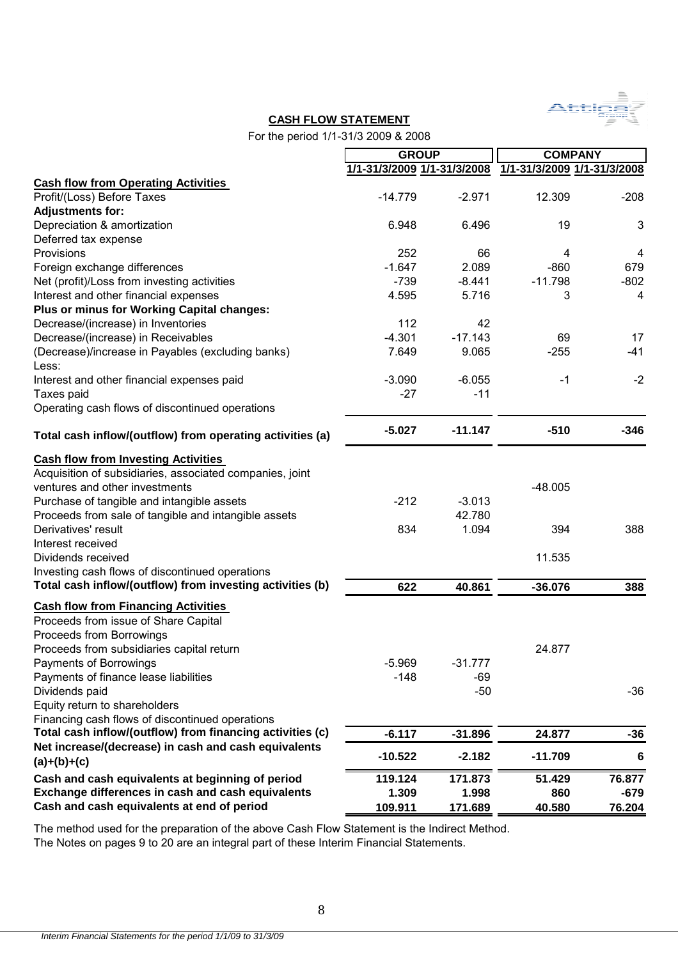

## **CASH FLOW STATEMENT**

For the period 1/1-31/3 2009 & 2008

|                                                                                                                                                                                                                                                                                                                                                                                                                                  | <b>GROUP</b>                |                                       | <b>COMPANY</b>                          |                |
|----------------------------------------------------------------------------------------------------------------------------------------------------------------------------------------------------------------------------------------------------------------------------------------------------------------------------------------------------------------------------------------------------------------------------------|-----------------------------|---------------------------------------|-----------------------------------------|----------------|
|                                                                                                                                                                                                                                                                                                                                                                                                                                  | 1/1-31/3/2009 1/1-31/3/2008 |                                       | 1/1-31/3/2009 1/1-31/3/2008             |                |
| <b>Cash flow from Operating Activities</b>                                                                                                                                                                                                                                                                                                                                                                                       |                             |                                       |                                         |                |
| Profit/(Loss) Before Taxes                                                                                                                                                                                                                                                                                                                                                                                                       | $-14.779$                   | $-2.971$                              | 12.309                                  | $-208$         |
| <b>Adjustments for:</b>                                                                                                                                                                                                                                                                                                                                                                                                          |                             |                                       |                                         |                |
| Depreciation & amortization                                                                                                                                                                                                                                                                                                                                                                                                      | 6.948                       | 6.496                                 | 19                                      | 3              |
| Deferred tax expense                                                                                                                                                                                                                                                                                                                                                                                                             |                             |                                       |                                         |                |
| Provisions                                                                                                                                                                                                                                                                                                                                                                                                                       | 252                         | 66                                    | 4                                       | $\overline{4}$ |
| Foreign exchange differences                                                                                                                                                                                                                                                                                                                                                                                                     | $-1.647$                    | 2.089                                 | $-860$                                  | 679            |
| Net (profit)/Loss from investing activities                                                                                                                                                                                                                                                                                                                                                                                      | $-739$                      | $-8.441$                              | $-11.798$                               | $-802$         |
| Interest and other financial expenses                                                                                                                                                                                                                                                                                                                                                                                            | 4.595                       | 5.716                                 | 3                                       | 4              |
| Plus or minus for Working Capital changes:                                                                                                                                                                                                                                                                                                                                                                                       |                             |                                       |                                         |                |
| Decrease/(increase) in Inventories                                                                                                                                                                                                                                                                                                                                                                                               | 112                         | 42                                    |                                         |                |
| Decrease/(increase) in Receivables                                                                                                                                                                                                                                                                                                                                                                                               | $-4.301$                    | $-17.143$                             | 69                                      | 17             |
| (Decrease)/increase in Payables (excluding banks)<br>Less:                                                                                                                                                                                                                                                                                                                                                                       | 7.649                       | 9.065                                 | $-255$                                  | $-41$          |
| Interest and other financial expenses paid                                                                                                                                                                                                                                                                                                                                                                                       | $-3.090$                    | $-6.055$                              | $-1$                                    | $-2$           |
| Taxes paid                                                                                                                                                                                                                                                                                                                                                                                                                       | $-27$                       | $-11$                                 |                                         |                |
| Operating cash flows of discontinued operations                                                                                                                                                                                                                                                                                                                                                                                  |                             |                                       |                                         |                |
| Total cash inflow/(outflow) from operating activities (a)                                                                                                                                                                                                                                                                                                                                                                        | $-5.027$                    | $-11.147$                             | $-510$                                  | $-346$         |
| <b>Cash flow from Investing Activities</b><br>Acquisition of subsidiaries, associated companies, joint<br>ventures and other investments<br>Purchase of tangible and intangible assets<br>Proceeds from sale of tangible and intangible assets<br>Derivatives' result<br>Interest received<br>Dividends received<br>Investing cash flows of discontinued operations<br>Total cash inflow/(outflow) from investing activities (b) | $-212$<br>834<br>622        | $-3.013$<br>42.780<br>1.094<br>40.861 | $-48.005$<br>394<br>11.535<br>$-36.076$ | 388<br>388     |
| <b>Cash flow from Financing Activities</b>                                                                                                                                                                                                                                                                                                                                                                                       |                             |                                       |                                         |                |
| Proceeds from issue of Share Capital<br>Proceeds from Borrowings<br>Proceeds from subsidiaries capital return<br>Payments of Borrowings<br>Payments of finance lease liabilities<br>Dividends paid<br>Equity return to shareholders                                                                                                                                                                                              | $-5.969$<br>$-148$          | -31.777<br>-69<br>$-50$               | 24.877                                  | -36            |
| Financing cash flows of discontinued operations                                                                                                                                                                                                                                                                                                                                                                                  |                             |                                       |                                         |                |
| Total cash inflow/(outflow) from financing activities (c)                                                                                                                                                                                                                                                                                                                                                                        | $-6.117$                    | $-31.896$                             | 24.877                                  | -36            |
| Net increase/(decrease) in cash and cash equivalents<br>$(a)+(b)+(c)$                                                                                                                                                                                                                                                                                                                                                            | $-10.522$                   | $-2.182$                              | $-11.709$                               | 6              |
| Cash and cash equivalents at beginning of period                                                                                                                                                                                                                                                                                                                                                                                 | 119.124                     | 171.873                               | 51.429                                  | 76.877         |
| Exchange differences in cash and cash equivalents                                                                                                                                                                                                                                                                                                                                                                                | 1.309                       | 1.998                                 | 860                                     | $-679$         |
| Cash and cash equivalents at end of period                                                                                                                                                                                                                                                                                                                                                                                       | 109.911                     | 171.689                               | 40.580                                  | 76.204         |
|                                                                                                                                                                                                                                                                                                                                                                                                                                  |                             |                                       |                                         |                |

The method used for the preparation of the above Cash Flow Statement is the Indirect Method. The Notes on pages 9 to 20 are an integral part of these Interim Financial Statements.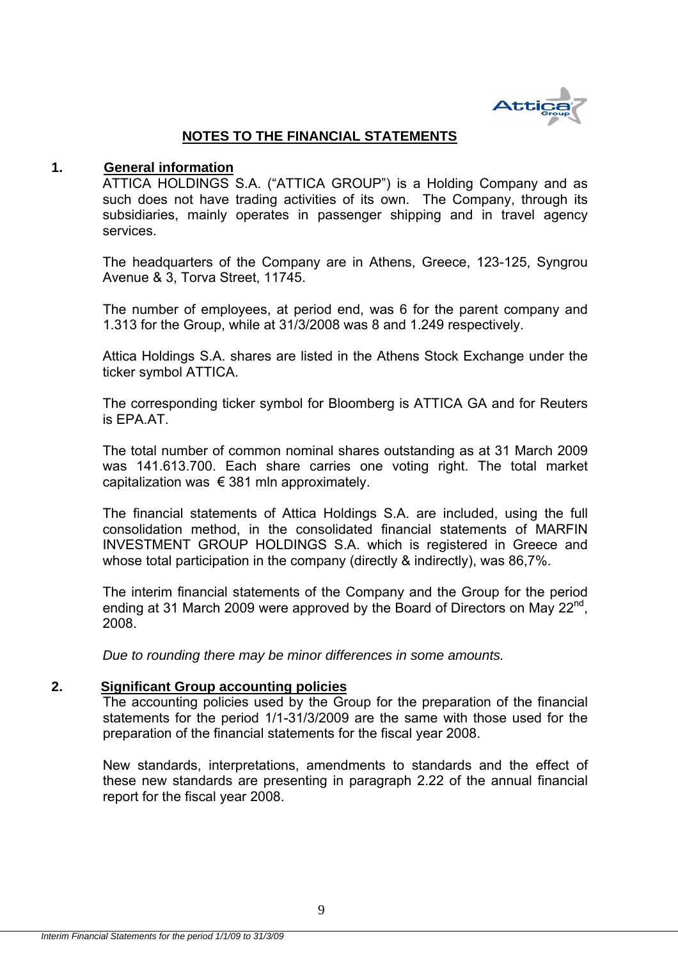

## **NOTES TO THE FINANCIAL STATEMENTS**

## **1. General information**

ATTICA HOLDINGS S.A. ("ATTICA GROUP") is a Holding Company and as such does not have trading activities of its own. The Company, through its subsidiaries, mainly operates in passenger shipping and in travel agency services.

The headquarters of the Company are in Athens, Greece, 123-125, Syngrou Avenue & 3, Torva Street, 11745.

The number of employees, at period end, was 6 for the parent company and 1.313 for the Group, while at 31/3/2008 was 8 and 1.249 respectively.

Attica Holdings S.A. shares are listed in the Athens Stock Exchange under the ticker symbol ATTICA.

The corresponding ticker symbol for Bloomberg is ATTICA GA and for Reuters is EPA.AT.

The total number of common nominal shares outstanding as at 31 March 2009 was 141.613.700. Each share carries one voting right. The total market capitalization was  $\epsilon$  381 mln approximately.

The financial statements of Attica Holdings S.A. are included, using the full consolidation method, in the consolidated financial statements of MARFIN INVESTMENT GROUP HOLDINGS S.A. which is registered in Greece and whose total participation in the company (directly & indirectly), was 86,7%.

The interim financial statements of the Company and the Group for the period ending at 31 March 2009 were approved by the Board of Directors on May 22<sup>nd</sup>. 2008.

*Due to rounding there may be minor differences in some amounts.* 

## **2. Significant Group accounting policies**

The accounting policies used by the Group for the preparation of the financial statements for the period 1/1-31/3/2009 are the same with those used for the preparation of the financial statements for the fiscal year 2008.

New standards, interpretations, amendments to standards and the effect of these new standards are presenting in paragraph 2.22 of the annual financial report for the fiscal year 2008.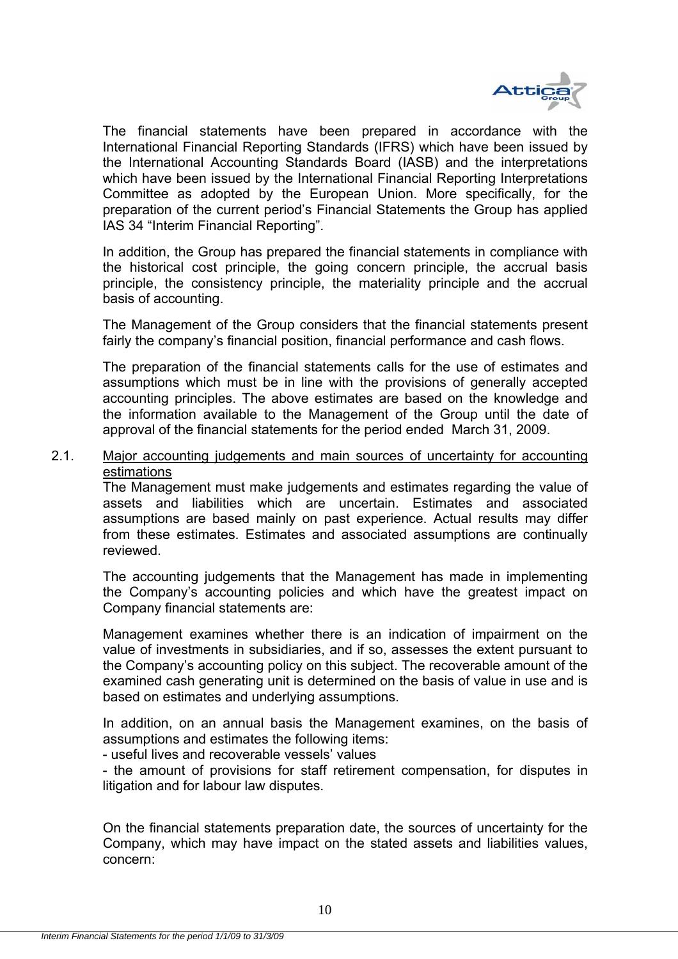

The financial statements have been prepared in accordance with the International Financial Reporting Standards (IFRS) which have been issued by the International Accounting Standards Board (IASB) and the interpretations which have been issued by the International Financial Reporting Interpretations Committee as adopted by the European Union. More specifically, for the preparation of the current period's Financial Statements the Group has applied IAS 34 "Interim Financial Reporting".

In addition, the Group has prepared the financial statements in compliance with the historical cost principle, the going concern principle, the accrual basis principle, the consistency principle, the materiality principle and the accrual basis of accounting.

The Management of the Group considers that the financial statements present fairly the company's financial position, financial performance and cash flows.

The preparation of the financial statements calls for the use of estimates and assumptions which must be in line with the provisions of generally accepted accounting principles. The above estimates are based οn the knowledge and the information available to the Management of the Group until the date of approval of the financial statements for the period ended March 31, 2009.

2.1. Major accounting judgements and main sources of uncertainty for accounting estimations

The Management must make judgements and estimates regarding the value of assets and liabilities which are uncertain. Estimates and associated assumptions are based mainly on past experience. Actual results may differ from these estimates. Estimates and associated assumptions are continually reviewed.

The accounting judgements that the Management has made in implementing the Company's accounting policies and which have the greatest impact on Company financial statements are:

Management examines whether there is an indication of impairment on the value of investments in subsidiaries, and if so, assesses the extent pursuant to the Company's accounting policy on this subject. The recoverable amount of the examined cash generating unit is determined on the basis of value in use and is based on estimates and underlying assumptions.

In addition, on an annual basis the Management examines, on the basis of assumptions and estimates the following items:

- useful lives and recoverable vessels' values

- the amount of provisions for staff retirement compensation, for disputes in litigation and for labour law disputes.

On the financial statements preparation date, the sources of uncertainty for the Company, which may have impact on the stated assets and liabilities values, concern: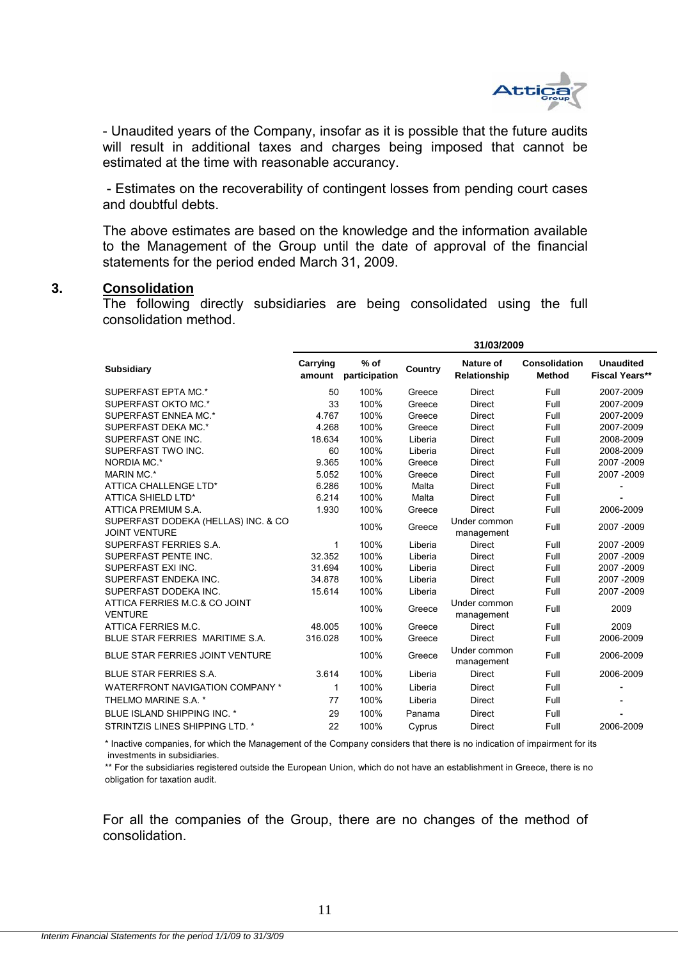

- Unaudited years of the Company, insofar as it is possible that the future audits will result in additional taxes and charges being imposed that cannot be estimated at the time with reasonable accurancy.

 - Estimates on the recoverability of contingent losses from pending court cases and doubtful debts.

The above estimates are based οn the knowledge and the information available to the Management of the Group until the date of approval of the financial statements for the period ended March 31, 2009.

#### **3. Consolidation**

The following directly subsidiaries are being consolidated using the full consolidation method.

|                                                             | 31/03/2009         |                         |         |                            |                                |                                           |  |
|-------------------------------------------------------------|--------------------|-------------------------|---------|----------------------------|--------------------------------|-------------------------------------------|--|
| <b>Subsidiary</b>                                           | Carrying<br>amount | $%$ of<br>participation | Country | Nature of<br>Relationship  | Consolidation<br><b>Method</b> | <b>Unaudited</b><br><b>Fiscal Years**</b> |  |
| SUPERFAST EPTA MC.*                                         | 50                 | 100%                    | Greece  | <b>Direct</b>              | Full                           | 2007-2009                                 |  |
| SUPERFAST OKTO MC.*                                         | 33                 | 100%                    | Greece  | <b>Direct</b>              | Full                           | 2007-2009                                 |  |
| SUPERFAST ENNEA MC.*                                        | 4.767              | 100%                    | Greece  | <b>Direct</b>              | Full                           | 2007-2009                                 |  |
| SUPERFAST DEKA MC.*                                         | 4.268              | 100%                    | Greece  | <b>Direct</b>              | Full                           | 2007-2009                                 |  |
| SUPERFAST ONE INC.                                          | 18.634             | 100%                    | Liberia | <b>Direct</b>              | Full                           | 2008-2009                                 |  |
| SUPERFAST TWO INC.                                          | 60                 | 100%                    | Liberia | <b>Direct</b>              | Full                           | 2008-2009                                 |  |
| NORDIA MC.*                                                 | 9.365              | 100%                    | Greece  | <b>Direct</b>              | Full                           | 2007-2009                                 |  |
| MARIN MC.*                                                  | 5.052              | 100%                    | Greece  | <b>Direct</b>              | Full                           | 2007-2009                                 |  |
| ATTICA CHALLENGE LTD*                                       | 6.286              | 100%                    | Malta   | <b>Direct</b>              | Full                           | $\blacksquare$                            |  |
| <b>ATTICA SHIELD LTD*</b>                                   | 6.214              | 100%                    | Malta   | <b>Direct</b>              | Full                           |                                           |  |
| ATTICA PREMIUM S.A.                                         | 1.930              | 100%                    | Greece  | <b>Direct</b>              | Full                           | 2006-2009                                 |  |
| SUPERFAST DODEKA (HELLAS) INC. & CO<br><b>JOINT VENTURE</b> |                    | 100%                    | Greece  | Under common<br>management | Full                           | 2007-2009                                 |  |
| SUPERFAST FERRIES S.A.                                      | 1                  | 100%                    | Liberia | <b>Direct</b>              | Full                           | 2007-2009                                 |  |
| SUPERFAST PENTE INC.                                        | 32.352             | 100%                    | Liberia | <b>Direct</b>              | Full                           | 2007-2009                                 |  |
| SUPERFAST EXI INC.                                          | 31.694             | 100%                    | Liberia | <b>Direct</b>              | Full                           | 2007-2009                                 |  |
| SUPERFAST ENDEKA INC.                                       | 34.878             | 100%                    | Liberia | <b>Direct</b>              | Full                           | 2007-2009                                 |  |
| SUPERFAST DODEKA INC.                                       | 15.614             | 100%                    | Liberia | <b>Direct</b>              | Full                           | 2007-2009                                 |  |
| ATTICA FERRIES M.C.& CO JOINT<br><b>VENTURE</b>             |                    | 100%                    | Greece  | Under common<br>management | Full                           | 2009                                      |  |
| ATTICA FERRIES M.C.                                         | 48.005             | 100%                    | Greece  | <b>Direct</b>              | Full                           | 2009                                      |  |
| BLUE STAR FERRIES MARITIME S.A.                             | 316.028            | 100%                    | Greece  | <b>Direct</b>              | Full                           | 2006-2009                                 |  |
| <b>BLUE STAR FERRIES JOINT VENTURE</b>                      |                    | 100%                    | Greece  | Under common<br>management | Full                           | 2006-2009                                 |  |
| <b>BLUE STAR FERRIES S.A.</b>                               | 3.614              | 100%                    | Liberia | <b>Direct</b>              | Full                           | 2006-2009                                 |  |
| <b>WATERFRONT NAVIGATION COMPANY *</b>                      | 1                  | 100%                    | Liberia | <b>Direct</b>              | Full                           | $\blacksquare$                            |  |
| THELMO MARINE S.A. *                                        | 77                 | 100%                    | Liberia | <b>Direct</b>              | Full                           |                                           |  |
| BLUE ISLAND SHIPPING INC. *                                 | 29                 | 100%                    | Panama  | <b>Direct</b>              | Full                           |                                           |  |
| STRINTZIS LINES SHIPPING LTD. *                             | 22                 | 100%                    | Cyprus  | <b>Direct</b>              | Full                           | 2006-2009                                 |  |

 investments in subsidiaries. \* Inactive companies, for which the Management of the Company considers that there is no indication of impairment for its

\*\* For the subsidiaries registered outside the European Union, which do not have an establishment in Greece, there is no obligation for taxation audit.

For all the companies of the Group, there are no changes of the method of consolidation.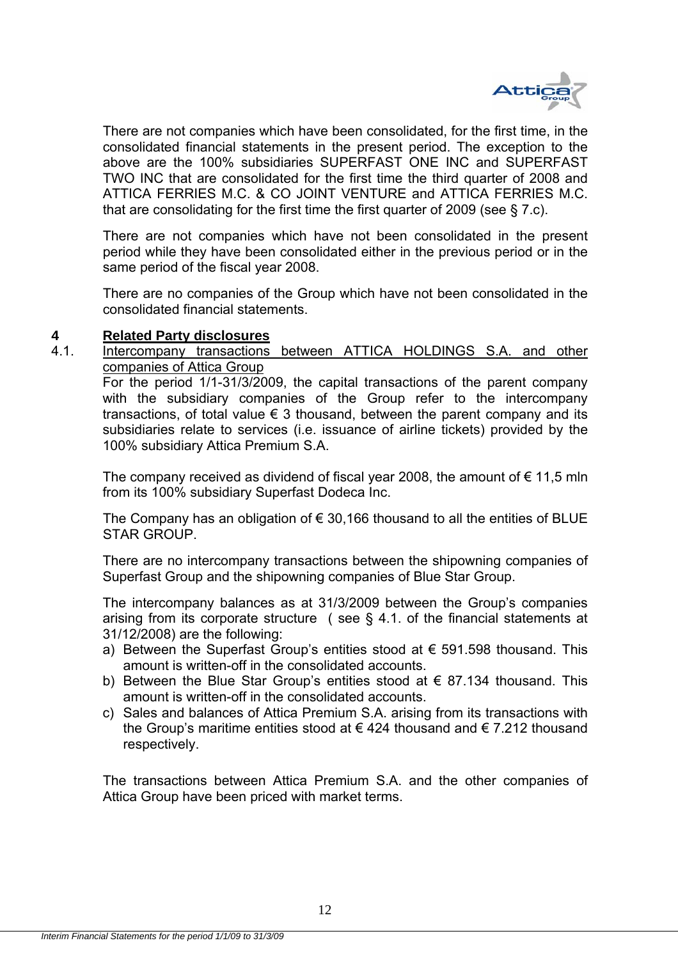

There are not companies which have been consolidated, for the first time, in the consolidated financial statements in the present period. The exception to the above are the 100% subsidiaries SUPERFAST ONE INC and SUPERFAST TWO INC that are consolidated for the first time the third quarter of 2008 and ATTICA FERRIES M.C. & CO JOINT VENTURE and ATTICA FERRIES M.C. that are consolidating for the first time the first quarter of 2009 (see § 7.c).

There are not companies which have not been consolidated in the present period while they have been consolidated either in the previous period or in the same period of the fiscal year 2008.

There are no companies of the Group which have not been consolidated in the consolidated financial statements.

## **4 Related Party disclosures**

4.1. Intercompany transactions between ATTICA HOLDINGS S.A. and other companies of Attica Group

For the period 1/1-31/3/2009, the capital transactions of the parent company with the subsidiary companies of the Group refer to the intercompany transactions, of total value  $\epsilon$  3 thousand, between the parent company and its subsidiaries relate to services (i.e. issuance of airline tickets) provided by the 100% subsidiary Attica Premium S.A.

The company received as dividend of fiscal year 2008, the amount of  $\epsilon$  11,5 mln from its 100% subsidiary Superfast Dodeca Inc.

The Company has an obligation of  $\epsilon$  30,166 thousand to all the entities of BLUE STAR GROUP.

There are no intercompany transactions between the shipowning companies of Superfast Group and the shipowning companies of Blue Star Group.

The intercompany balances as at 31/3/2009 between the Group's companies arising from its corporate structure ( see § 4.1. of the financial statements at 31/12/2008) are the following:

- a) Between the Superfast Group's entities stood at  $\epsilon$  591.598 thousand. This amount is written-off in the consolidated accounts.
- b) Between the Blue Star Group's entities stood at  $\epsilon$  87.134 thousand. This amount is written-off in the consolidated accounts.
- c) Sales and balances of Attica Premium S.A. arising from its transactions with the Group's maritime entities stood at  $\epsilon$  424 thousand and  $\epsilon$  7.212 thousand respectively.

The transactions between Attica Premium S.A. and the other companies of Attica Group have been priced with market terms.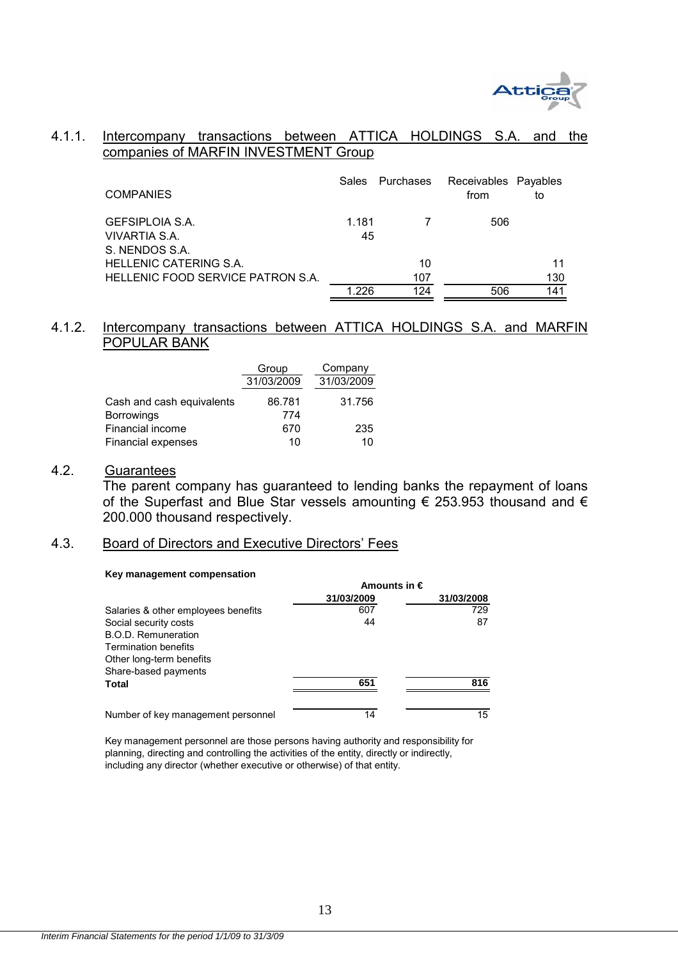

## 4.1.1. Intercompany transactions between ATTICA HOLDINGS S.A. and the companies of MARFIN INVESTMENT Group

| <b>COMPANIES</b>                                   | <b>Sales</b> | Purchases | Receivables Payables<br>from | to  |
|----------------------------------------------------|--------------|-----------|------------------------------|-----|
| GEFSIPLOIA S.A.<br>VIVARTIA S.A.<br>S. NENDOS S.A. | 1.181<br>45  |           | 506                          |     |
| HELLENIC CATERING S.A.                             |              | 10        |                              | 11  |
| HELLENIC FOOD SERVICE PATRON S.A.                  |              | 107       |                              | 130 |
|                                                    | 1 226        | 124       | 506                          | 141 |

## 4.1.2. Intercompany transactions between ATTICA HOLDINGS S.A. and MARFIN POPULAR BANK

|                                         | Group         | Company    |
|-----------------------------------------|---------------|------------|
|                                         | 31/03/2009    | 31/03/2009 |
| Cash and cash equivalents<br>Borrowings | 86.781<br>774 | 31.756     |
| Financial income                        | 670           | 235        |
| <b>Financial expenses</b>               | 10            | 10         |

## 4.2. Guarantees

 The parent company has guaranteed to lending banks the repayment of loans of the Superfast and Blue Star vessels amounting € 253.953 thousand and € 200.000 thousand respectively.

## 4.3. Board of Directors and Executive Directors' Fees

#### **Key management compensation**

|                                     | Amounts in $\epsilon$ |            |  |
|-------------------------------------|-----------------------|------------|--|
|                                     | 31/03/2009            | 31/03/2008 |  |
| Salaries & other employees benefits | 607                   | 729        |  |
| Social security costs               | 44                    | 87         |  |
| B.O.D. Remuneration                 |                       |            |  |
| <b>Termination benefits</b>         |                       |            |  |
| Other long-term benefits            |                       |            |  |
| Share-based payments                |                       |            |  |
| Total                               | 651                   | 816        |  |
|                                     |                       |            |  |
| Number of key management personnel  | 14                    | 15         |  |

Key management personnel are those persons having authority and responsibility for planning, directing and controlling the activities of the entity, directly or indirectly, including any director (whether executive or otherwise) of that entity.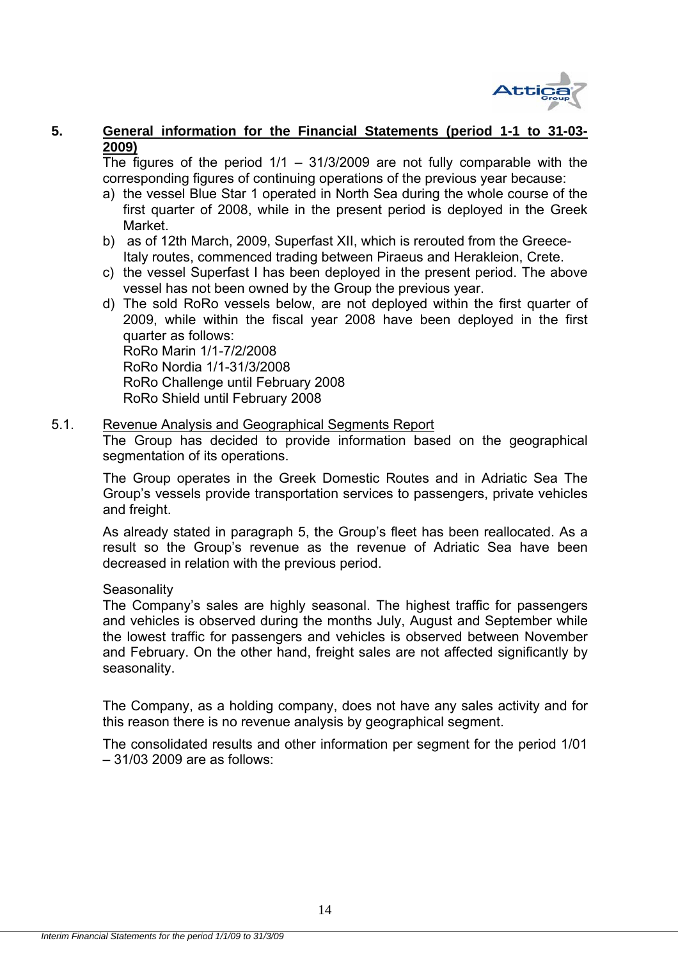

## **5. General information for the Financial Statements (period 1-1 to 31-03- 2009)**

The figures of the period  $1/1 - 31/3/2009$  are not fully comparable with the corresponding figures of continuing operations of the previous year because:

- a) the vessel Blue Star 1 operated in North Sea during the whole course of the first quarter of 2008, while in the present period is deployed in the Greek Market.
- b) as of 12th March, 2009, Superfast XII, which is rerouted from the Greece-Italy routes, commenced trading between Piraeus and Herakleion, Crete.
- c) the vessel Superfast I has been deployed in the present period. The above vessel has not been owned by the Group the previous year.
- d) The sold RoRo vessels below, are not deployed within the first quarter of 2009, while within the fiscal year 2008 have been deployed in the first quarter as follows: RoRo Marin 1/1-7/2/2008 RoRo Nordia 1/1-31/3/2008

 RoRo Challenge until February 2008 RoRo Shield until February 2008

### 5.1. Revenue Analysis and Geographical Segments Report

The Group has decided to provide information based on the geographical segmentation of its operations.

The Group operates in the Greek Domestic Routes and in Adriatic Sea The Group's vessels provide transportation services to passengers, private vehicles and freight.

As already stated in paragraph 5, the Group's fleet has been reallocated. As a result so the Group's revenue as the revenue of Adriatic Sea have been decreased in relation with the previous period.

### **Seasonality**

The Company's sales are highly seasonal. The highest traffic for passengers and vehicles is observed during the months July, August and September while the lowest traffic for passengers and vehicles is observed between November and February. On the other hand, freight sales are not affected significantly by seasonality.

The Company, as a holding company, does not have any sales activity and for this reason there is no revenue analysis by geographical segment.

The consolidated results and other information per segment for the period 1/01 – 31/03 2009 are as follows: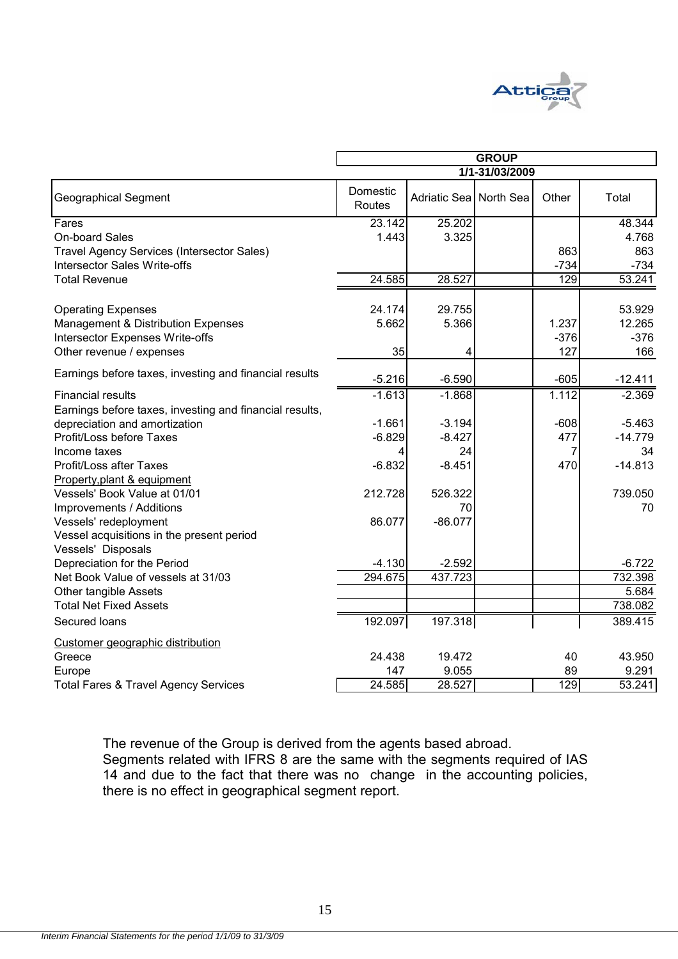

|                                                         | <b>GROUP</b>       |                        |                |                  |           |
|---------------------------------------------------------|--------------------|------------------------|----------------|------------------|-----------|
|                                                         |                    |                        | 1/1-31/03/2009 |                  |           |
| <b>Geographical Segment</b>                             | Domestic<br>Routes | Adriatic Sea North Sea |                | Other            | Total     |
| Fares                                                   | 23.142             | 25.202                 |                |                  | 48.344    |
| On-board Sales                                          | 1.443              | 3.325                  |                |                  | 4.768     |
| <b>Travel Agency Services (Intersector Sales)</b>       |                    |                        |                | 863              | 863       |
| Intersector Sales Write-offs                            |                    |                        |                | $-734$           | $-734$    |
| <b>Total Revenue</b>                                    | 24.585             | 28.527                 |                | $\overline{129}$ | 53.241    |
| <b>Operating Expenses</b>                               | 24.174             | 29.755                 |                |                  | 53.929    |
| Management & Distribution Expenses                      | 5.662              | 5.366                  |                | 1.237            | 12.265    |
| Intersector Expenses Write-offs                         |                    |                        |                | $-376$           | $-376$    |
| Other revenue / expenses                                | 35                 | 4                      |                | 127              | 166       |
| Earnings before taxes, investing and financial results  | $-5.216$           | $-6.590$               |                | $-605$           | $-12.411$ |
| <b>Financial results</b>                                | $-1.613$           | $-1.868$               |                | 1.112            | $-2.369$  |
| Earnings before taxes, investing and financial results, |                    |                        |                |                  |           |
| depreciation and amortization                           | $-1.661$           | $-3.194$               |                | $-608$           | $-5.463$  |
| Profit/Loss before Taxes                                | $-6.829$           | $-8.427$               |                | 477              | $-14.779$ |
| Income taxes                                            |                    | 24                     |                | 7                | 34        |
| Profit/Loss after Taxes                                 | $-6.832$           | $-8.451$               |                | 470              | $-14.813$ |
| Property, plant & equipment                             |                    |                        |                |                  |           |
| Vessels' Book Value at 01/01                            | 212.728            | 526.322                |                |                  | 739.050   |
| Improvements / Additions                                |                    | 70                     |                |                  | 70        |
| Vessels' redeployment                                   | 86.077             | $-86.077$              |                |                  |           |
| Vessel acquisitions in the present period               |                    |                        |                |                  |           |
| Vessels' Disposals                                      |                    |                        |                |                  |           |
| Depreciation for the Period                             | $-4.130$           | $-2.592$               |                |                  | $-6.722$  |
| Net Book Value of vessels at 31/03                      | 294.675            | 437.723                |                |                  | 732.398   |
| <b>Other tangible Assets</b>                            |                    |                        |                |                  | 5.684     |
| <b>Total Net Fixed Assets</b>                           |                    |                        |                |                  | 738.082   |
| Secured loans                                           | 192.097            | 197.318                |                |                  | 389.415   |
| Customer geographic distribution                        |                    |                        |                |                  |           |
| Greece                                                  | 24.438             | 19.472                 |                | 40               | 43.950    |
| Europe                                                  | 147                | 9.055                  |                | 89               | 9.291     |
| <b>Total Fares &amp; Travel Agency Services</b>         | 24.585             | 28.527                 |                | 129              | 53.241    |

The revenue of the Group is derived from the agents based abroad. Segments related with IFRS 8 are the same with the segments required of IAS 14 and due to the fact that there was no change in the accounting policies, there is no effect in geographical segment report.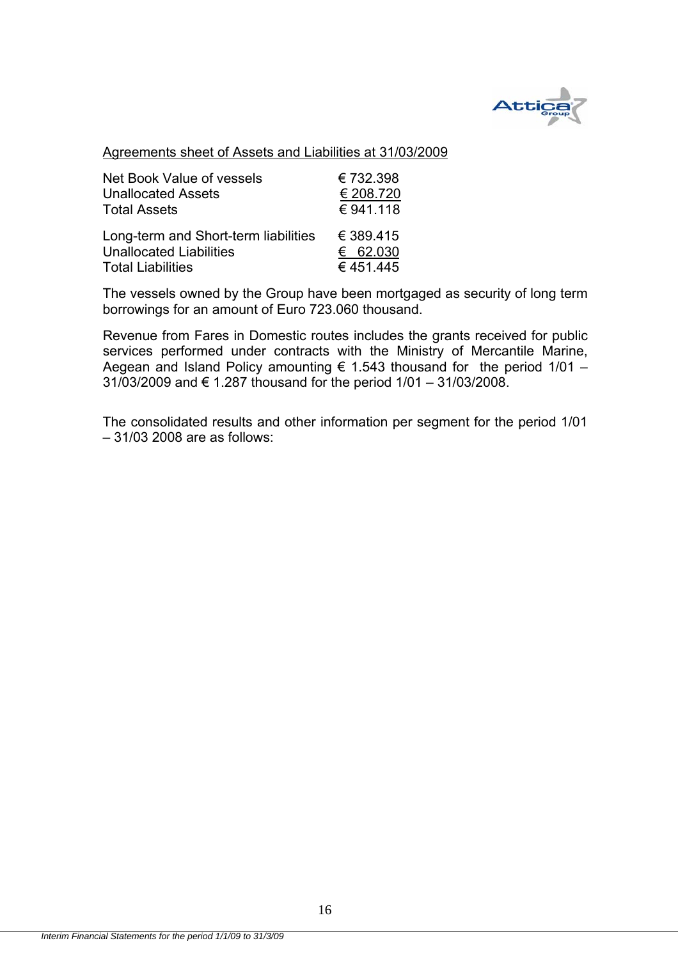

## Agreements sheet of Assets and Liabilities at 31/03/2009

| Net Book Value of vessels            | € 732.398 |
|--------------------------------------|-----------|
| <b>Unallocated Assets</b>            | € 208.720 |
| <b>Total Assets</b>                  | € 941.118 |
| Long-term and Short-term liabilities | € 389.415 |
| <b>Unallocated Liabilities</b>       | € 62.030  |
| <b>Total Liabilities</b>             | €451.445  |

The vessels owned by the Group have been mortgaged as security of long term borrowings for an amount of Euro 723.060 thousand.

Revenue from Fares in Domestic routes includes the grants received for public services performed under contracts with the Ministry of Mercantile Marine, Aegean and Island Policy amounting  $\epsilon$  1.543 thousand for the period 1/01 – 31/03/2009 and € 1.287 thousand for the period 1/01 – 31/03/2008.

The consolidated results and other information per segment for the period 1/01 – 31/03 2008 are as follows: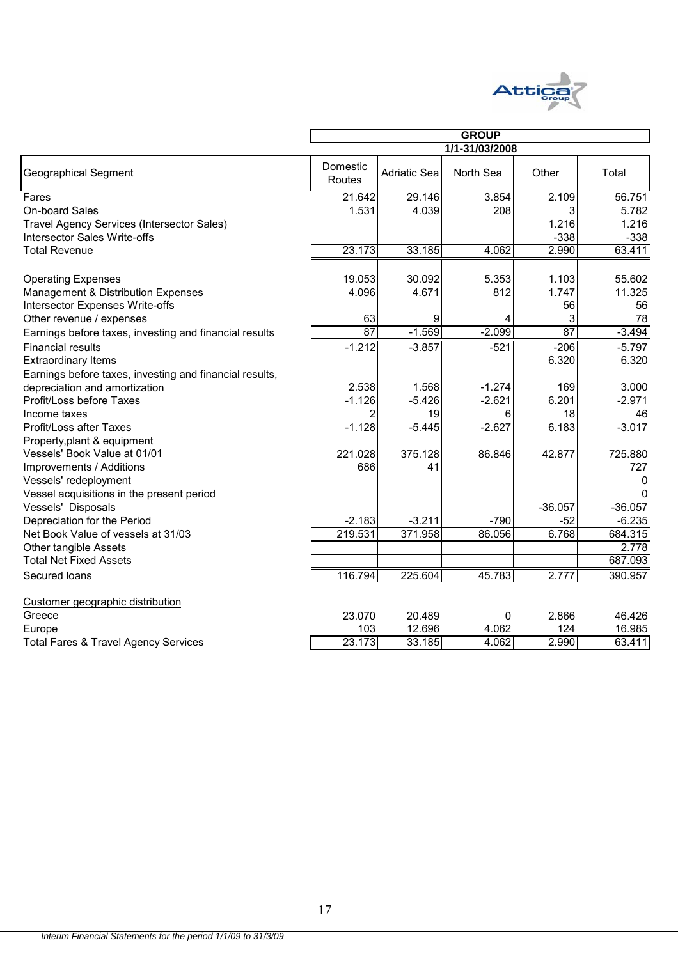

|                                                         |                    | <b>GROUP</b>        |                |           |           |  |
|---------------------------------------------------------|--------------------|---------------------|----------------|-----------|-----------|--|
|                                                         |                    |                     | 1/1-31/03/2008 |           |           |  |
| Geographical Segment                                    | Domestic<br>Routes | <b>Adriatic Sea</b> | North Sea      | Other     | Total     |  |
|                                                         |                    |                     |                |           | 56.751    |  |
| Fares<br>On-board Sales                                 | 21.642<br>1.531    | 29.146<br>4.039     | 3.854<br>208   | 2.109     | 5.782     |  |
|                                                         |                    |                     |                | 3         |           |  |
| Travel Agency Services (Intersector Sales)              |                    |                     |                | 1.216     | 1.216     |  |
| <b>Intersector Sales Write-offs</b>                     |                    |                     |                | $-338$    | $-338$    |  |
| <b>Total Revenue</b>                                    | 23.173             | 33.185              | 4.062          | 2.990     | 63.411    |  |
| <b>Operating Expenses</b>                               | 19.053             | 30.092              | 5.353          | 1.103     | 55.602    |  |
| Management & Distribution Expenses                      | 4.096              | 4.671               | 812            | 1.747     | 11.325    |  |
| Intersector Expenses Write-offs                         |                    |                     |                | 56        | 56        |  |
| Other revenue / expenses                                | 63                 | 9                   |                | 3         | 78        |  |
| Earnings before taxes, investing and financial results  | 87                 | $-1.569$            | $-2.099$       | 87        | $-3.494$  |  |
| <b>Financial results</b>                                | $-1.212$           | $-3.857$            | $-521$         | $-206$    | $-5.797$  |  |
| <b>Extraordinary Items</b>                              |                    |                     |                | 6.320     | 6.320     |  |
| Earnings before taxes, investing and financial results, |                    |                     |                |           |           |  |
| depreciation and amortization                           | 2.538              | 1.568               | $-1.274$       | 169       | 3.000     |  |
| Profit/Loss before Taxes                                | $-1.126$           | $-5.426$            | $-2.621$       | 6.201     | $-2.971$  |  |
| Income taxes                                            | 2                  | 19                  | 6              | 18        | 46        |  |
| Profit/Loss after Taxes                                 | $-1.128$           | $-5.445$            | $-2.627$       | 6.183     | $-3.017$  |  |
| Property, plant & equipment                             |                    |                     |                |           |           |  |
| Vessels' Book Value at 01/01                            | 221.028            | 375.128             | 86.846         | 42.877    | 725.880   |  |
| Improvements / Additions                                | 686                | 41                  |                |           | 727       |  |
| Vessels' redeployment                                   |                    |                     |                |           | 0         |  |
| Vessel acquisitions in the present period               |                    |                     |                |           | $\Omega$  |  |
| Vessels' Disposals                                      |                    |                     |                | $-36.057$ | $-36.057$ |  |
| Depreciation for the Period                             | $-2.183$           | $-3.211$            | $-790$         | $-52$     | $-6.235$  |  |
| Net Book Value of vessels at 31/03                      | 219.531            | 371.958             | 86.056         | 6.768     | 684.315   |  |
| Other tangible Assets                                   |                    |                     |                |           | 2.778     |  |
| <b>Total Net Fixed Assets</b>                           |                    |                     |                |           | 687.093   |  |
| Secured loans                                           | 116.794            | 225.604             | 45.783         | 2.777     | 390.957   |  |
| Customer geographic distribution                        |                    |                     |                |           |           |  |
| Greece                                                  | 23.070             | 20.489              | 0              | 2.866     | 46.426    |  |
| Europe                                                  | 103                | 12.696              | 4.062          | 124       | 16.985    |  |
| <b>Total Fares &amp; Travel Agency Services</b>         | 23.173             | 33.185              | 4.062          | 2.990     | 63.411    |  |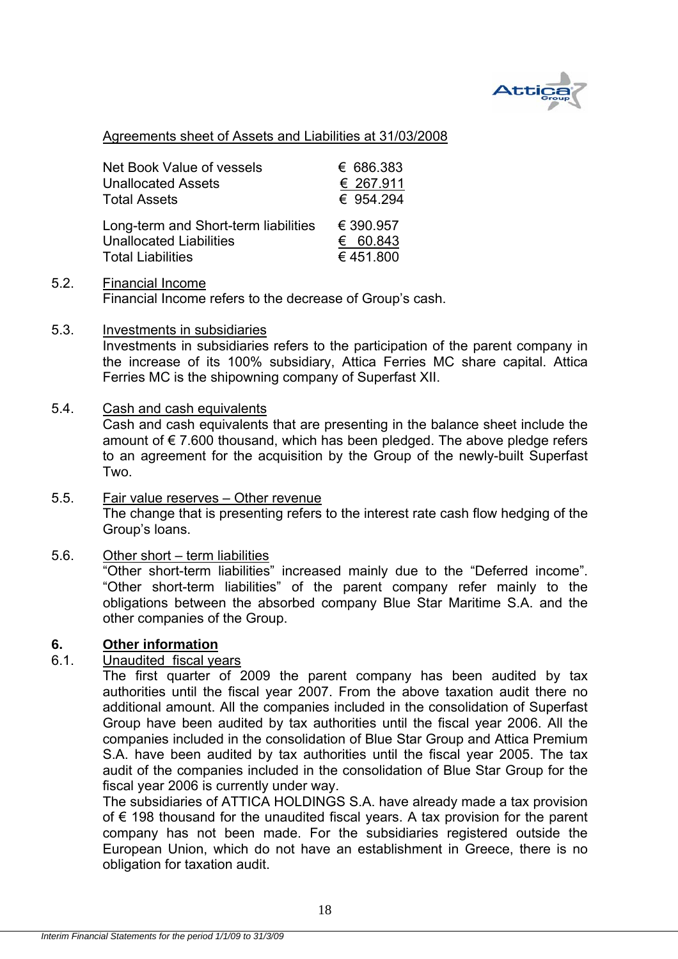

## Agreements sheet of Assets and Liabilities at 31/03/2008

| Net Book Value of vessels            | € 686.383 |
|--------------------------------------|-----------|
| <b>Unallocated Assets</b>            | € 267.911 |
| <b>Total Assets</b>                  | € 954.294 |
| Long-term and Short-term liabilities | € 390.957 |
| <b>Unallocated Liabilities</b>       | € 60.843  |
| <b>Total Liabilities</b>             | €451.800  |

- 5.2. Financial Income Financial Income refers to the decrease of Group's cash.
- 5.3. Investments in subsidiaries

Investments in subsidiaries refers to the participation of the parent company in the increase of its 100% subsidiary, Attica Ferries MC share capital. Attica Ferries MC is the shipowning company of Superfast XII.

### 5.4. Cash and cash equivalents

 Cash and cash equivalents that are presenting in the balance sheet include the amount of  $\epsilon$  7.600 thousand, which has been pledged. The above pledge refers to an agreement for the acquisition by the Group of the newly-built Superfast Two.

5.5. Fair value reserves – Other revenue The change that is presenting refers to the interest rate cash flow hedging of the Group's loans.

## 5.6. Other short – term liabilities

"Other short-term liabilities" increased mainly due to the "Deferred income". "Other short-term liabilities" of the parent company refer mainly to the obligations between the absorbed company Blue Star Maritime S.A. and the other companies of the Group.

## **6. Other information**

### 6.1. Unaudited fiscal years

The first quarter of 2009 the parent company has been audited by tax authorities until the fiscal year 2007. From the above taxation audit there no additional amount. All the companies included in the consolidation of Superfast Group have been audited by tax authorities until the fiscal year 2006. All the companies included in the consolidation of Blue Star Group and Attica Premium S.A. have been audited by tax authorities until the fiscal year 2005. The tax audit of the companies included in the consolidation of Blue Star Group for the fiscal year 2006 is currently under way.

The subsidiaries of ATTICA HOLDINGS S.A. have already made a tax provision of € 198 thousand for the unaudited fiscal years. A tax provision for the parent company has not been made. For the subsidiaries registered outside the European Union, which do not have an establishment in Greece, there is no obligation for taxation audit.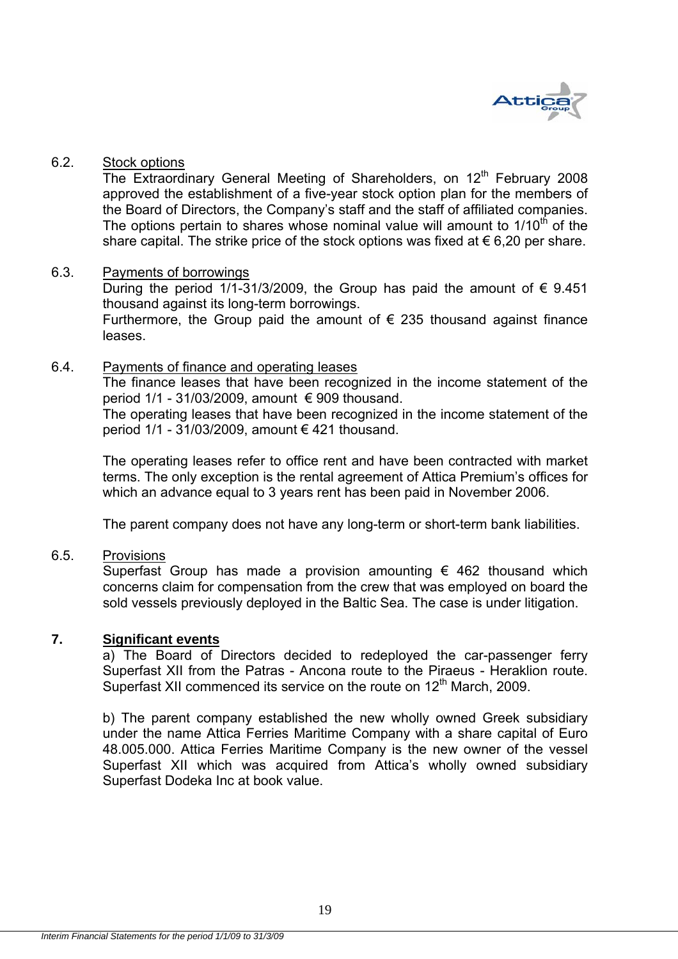

### 6.2. Stock options

The Extraordinary General Meeting of Shareholders, on  $12<sup>th</sup>$  February 2008 approved the establishment of a five-year stock option plan for the members of the Board of Directors, the Company's staff and the staff of affiliated companies. The options pertain to shares whose nominal value will amount to  $1/10<sup>th</sup>$  of the share capital. The strike price of the stock options was fixed at  $\epsilon$  6,20 per share.

### 6.3. Payments of borrowings

During the period 1/1-31/3/2009, the Group has paid the amount of  $\epsilon$  9.451 thousand against its long-term borrowings.

Furthermore, the Group paid the amount of  $\epsilon$  235 thousand against finance leases.

### 6.4. Payments of finance and operating leases

The finance leases that have been recognized in the income statement of the period  $1/1$  - 31/03/2009, amount  $\epsilon$  909 thousand.

The operating leases that have been recognized in the income statement of the period  $1/1 - 31/03/2009$ , amount  $\epsilon$  421 thousand.

The operating leases refer to office rent and have been contracted with market terms. The only exception is the rental agreement of Attica Premium's offices for which an advance equal to 3 years rent has been paid in November 2006.

The parent company does not have any long-term or short-term bank liabilities.

## 6.5. Provisions

Superfast Group has made a provision amounting  $\epsilon$  462 thousand which concerns claim for compensation from the crew that was employed on board the sold vessels previously deployed in the Baltic Sea. The case is under litigation.

## **7. Significant events**

a) The Board of Directors decided to redeployed the car-passenger ferry Superfast XII from the Patras - Ancona route to the Piraeus - Heraklion route. Superfast XII commenced its service on the route on 12<sup>th</sup> March, 2009.

b) The parent company established the new wholly owned Greek subsidiary under the name Attica Ferries Maritime Company with a share capital of Euro 48.005.000. Attica Ferries Maritime Company is the new owner of the vessel Superfast XII which was acquired from Attica's wholly owned subsidiary Superfast Dodeka Inc at book value.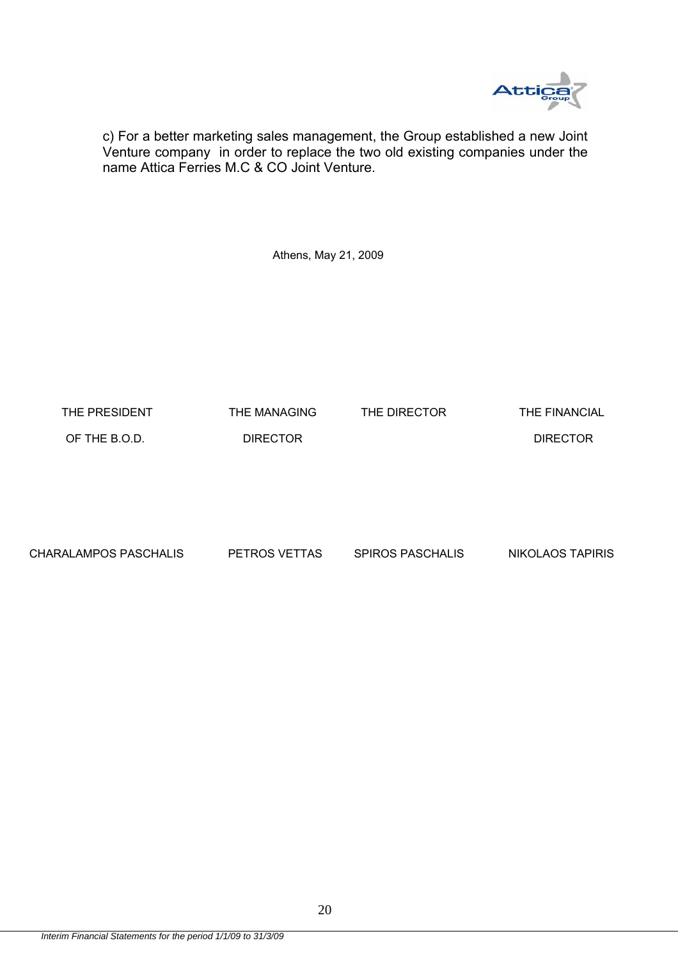

c) For a better marketing sales management, the Group established a new Joint Venture company in order to replace the two old existing companies under the name Attica Ferries M.C & CO Joint Venture.

Athens, May 21, 2009

THE PRESIDENT THE MANAGING THE DIRECTOR THE FINANCIAL

OF THE B.O.D. DIRECTOR DIRECTOR

CHARALAMPOS PASCHALIS PETROS VETTAS SPIROS PASCHALIS NIKOLAOS TAPIRIS